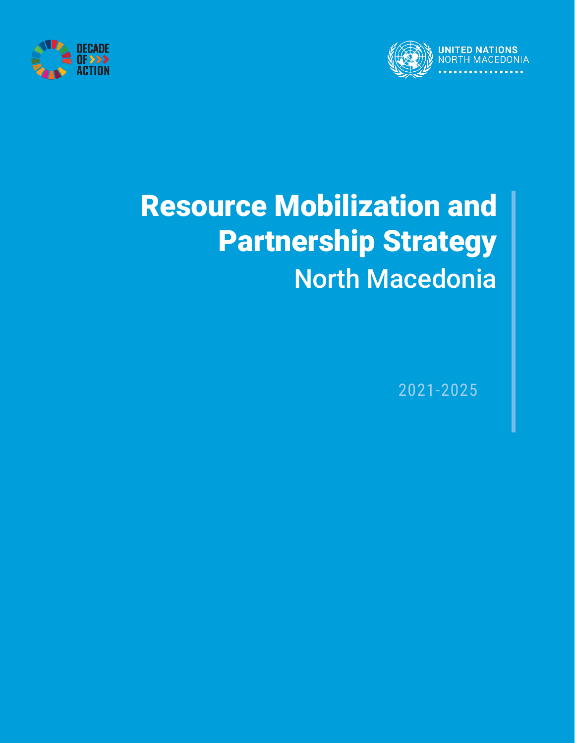



# Resource Mobilization and Partnership Strategy North Macedonia

2021-2025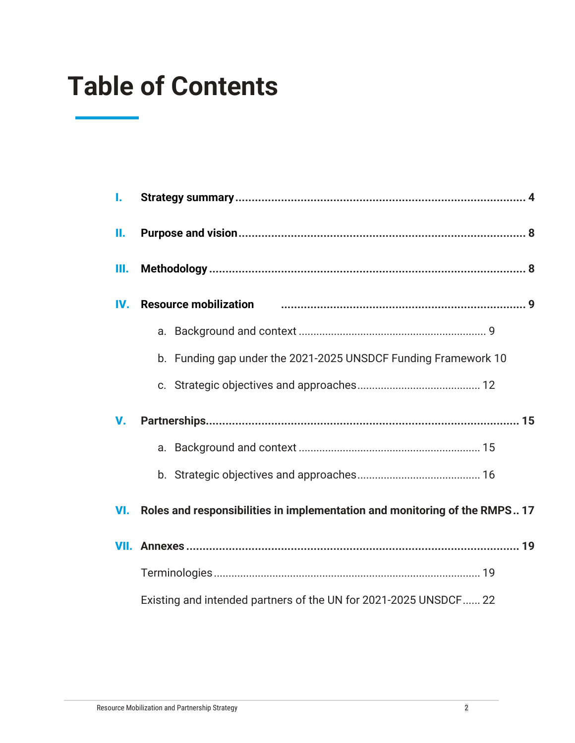### **Table of Contents**

| I.  |                                                                            |  |  |  |  |  |  |
|-----|----------------------------------------------------------------------------|--|--|--|--|--|--|
| Н.  |                                                                            |  |  |  |  |  |  |
| Ш.  |                                                                            |  |  |  |  |  |  |
| IV. | <b>Resource mobilization</b>                                               |  |  |  |  |  |  |
|     |                                                                            |  |  |  |  |  |  |
|     | b. Funding gap under the 2021-2025 UNSDCF Funding Framework 10             |  |  |  |  |  |  |
|     |                                                                            |  |  |  |  |  |  |
| V.  |                                                                            |  |  |  |  |  |  |
|     |                                                                            |  |  |  |  |  |  |
|     |                                                                            |  |  |  |  |  |  |
| VI. | Roles and responsibilities in implementation and monitoring of the RMPS 17 |  |  |  |  |  |  |
|     |                                                                            |  |  |  |  |  |  |
|     |                                                                            |  |  |  |  |  |  |
|     | Existing and intended partners of the UN for 2021-2025 UNSDCF 22           |  |  |  |  |  |  |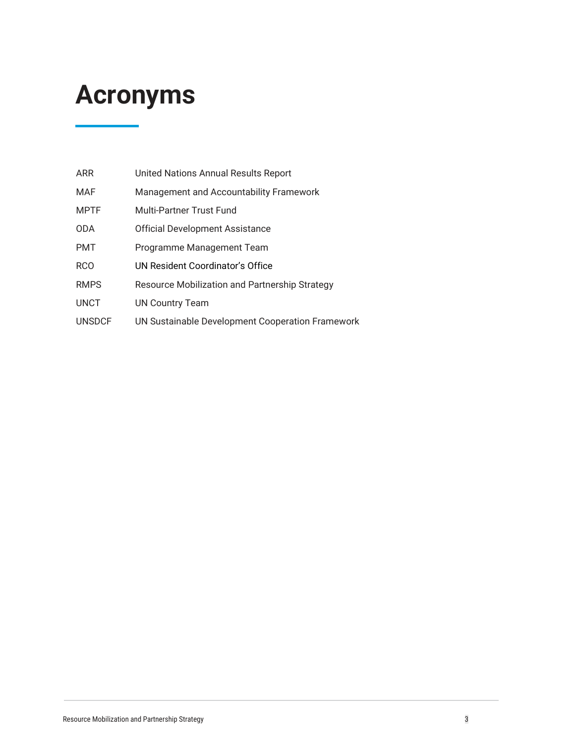### **Acronyms**

| <b>ARR</b>    | United Nations Annual Results Report             |
|---------------|--------------------------------------------------|
| MAF           | Management and Accountability Framework          |
| <b>MPTF</b>   | Multi-Partner Trust Fund                         |
| <b>ODA</b>    | <b>Official Development Assistance</b>           |
| <b>PMT</b>    | Programme Management Team                        |
| <b>RCO</b>    | UN Resident Coordinator's Office                 |
| <b>RMPS</b>   | Resource Mobilization and Partnership Strategy   |
| <b>UNCT</b>   | <b>UN Country Team</b>                           |
| <b>UNSDCF</b> | UN Sustainable Development Cooperation Framework |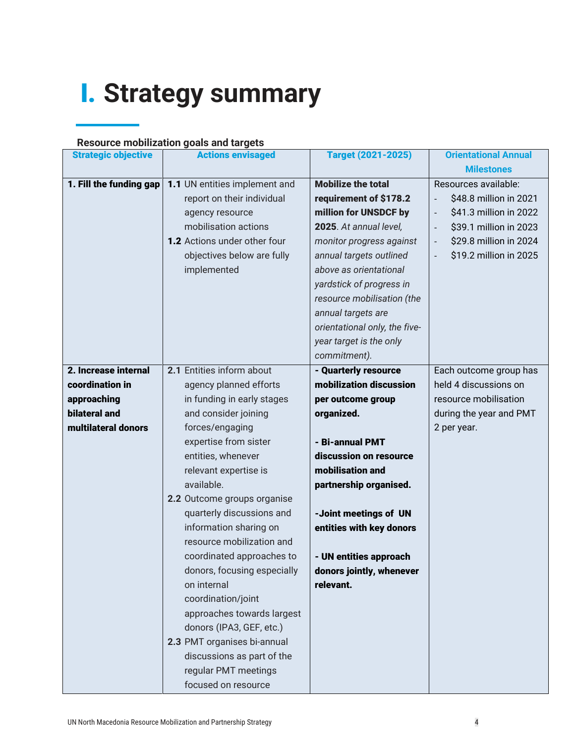# I. **Strategy summary**

#### **Resource mobilization goals and targets**

| <b>Strategic objective</b> | <b>Actions envisaged</b>      | <b>Target (2021-2025)</b>     | <b>Orientational Annual</b> |
|----------------------------|-------------------------------|-------------------------------|-----------------------------|
|                            |                               |                               | <b>Milestones</b>           |
| 1. Fill the funding gap    | 1.1 UN entities implement and | <b>Mobilize the total</b>     | Resources available:        |
|                            | report on their individual    | requirement of \$178.2        | \$48.8 million in 2021      |
|                            | agency resource               | million for UNSDCF by         | \$41.3 million in 2022      |
|                            | mobilisation actions          | 2025. At annual level,        | \$39.1 million in 2023      |
|                            | 1.2 Actions under other four  | monitor progress against      | \$29.8 million in 2024      |
|                            | objectives below are fully    | annual targets outlined       | \$19.2 million in 2025      |
|                            | implemented                   | above as orientational        |                             |
|                            |                               | yardstick of progress in      |                             |
|                            |                               | resource mobilisation (the    |                             |
|                            |                               | annual targets are            |                             |
|                            |                               | orientational only, the five- |                             |
|                            |                               | year target is the only       |                             |
|                            |                               | commitment).                  |                             |
| 2. Increase internal       | 2.1 Entities inform about     | - Quarterly resource          | Each outcome group has      |
| coordination in            | agency planned efforts        | mobilization discussion       | held 4 discussions on       |
| approaching                | in funding in early stages    | per outcome group             | resource mobilisation       |
| <b>bilateral and</b>       | and consider joining          | organized.                    | during the year and PMT     |
| multilateral donors        | forces/engaging               |                               | 2 per year.                 |
|                            | expertise from sister         | - Bi-annual PMT               |                             |
|                            | entities, whenever            | discussion on resource        |                             |
|                            | relevant expertise is         | mobilisation and              |                             |
|                            | available.                    | partnership organised.        |                             |
|                            | 2.2 Outcome groups organise   |                               |                             |
|                            | quarterly discussions and     | -Joint meetings of UN         |                             |
|                            | information sharing on        | entities with key donors      |                             |
|                            | resource mobilization and     |                               |                             |
|                            | coordinated approaches to     | - UN entities approach        |                             |
|                            | donors, focusing especially   | donors jointly, whenever      |                             |
|                            | on internal                   | relevant.                     |                             |
|                            | coordination/joint            |                               |                             |
|                            | approaches towards largest    |                               |                             |
|                            | donors (IPA3, GEF, etc.)      |                               |                             |
|                            | 2.3 PMT organises bi-annual   |                               |                             |
|                            | discussions as part of the    |                               |                             |
|                            | regular PMT meetings          |                               |                             |
|                            | focused on resource           |                               |                             |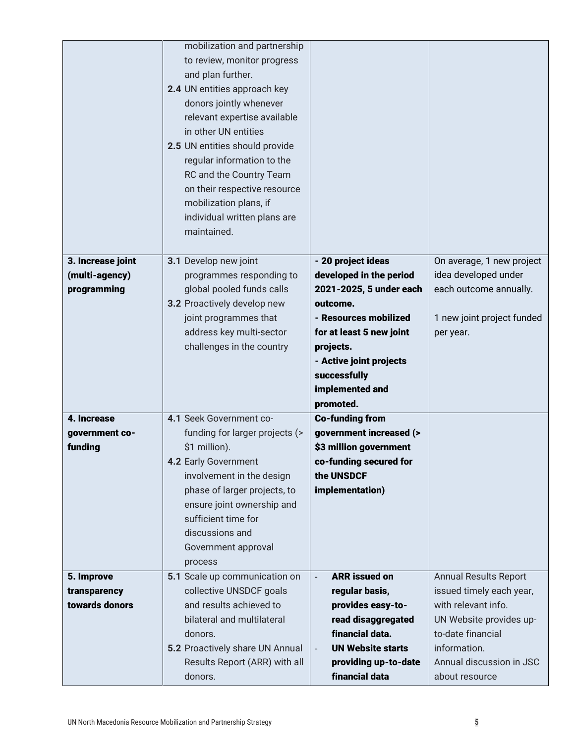|                   | mobilization and partnership    |                                        |                              |
|-------------------|---------------------------------|----------------------------------------|------------------------------|
|                   | to review, monitor progress     |                                        |                              |
|                   | and plan further.               |                                        |                              |
|                   | 2.4 UN entities approach key    |                                        |                              |
|                   | donors jointly whenever         |                                        |                              |
|                   | relevant expertise available    |                                        |                              |
|                   | in other UN entities            |                                        |                              |
|                   | 2.5 UN entities should provide  |                                        |                              |
|                   | regular information to the      |                                        |                              |
|                   | RC and the Country Team         |                                        |                              |
|                   | on their respective resource    |                                        |                              |
|                   | mobilization plans, if          |                                        |                              |
|                   | individual written plans are    |                                        |                              |
|                   | maintained.                     |                                        |                              |
|                   |                                 |                                        |                              |
| 3. Increase joint | 3.1 Develop new joint           | - 20 project ideas                     | On average, 1 new project    |
| (multi-agency)    | programmes responding to        | developed in the period                | idea developed under         |
| programming       | global pooled funds calls       | 2021-2025, 5 under each                | each outcome annually.       |
|                   | 3.2 Proactively develop new     | outcome.                               |                              |
|                   | joint programmes that           | - Resources mobilized                  | 1 new joint project funded   |
|                   | address key multi-sector        | for at least 5 new joint               | per year.                    |
|                   | challenges in the country       | projects.                              |                              |
|                   |                                 | - Active joint projects                |                              |
|                   |                                 | successfully                           |                              |
|                   |                                 | implemented and                        |                              |
|                   |                                 | promoted.                              |                              |
| 4. Increase       | 4.1 Seek Government co-         | <b>Co-funding from</b>                 |                              |
| government co-    | funding for larger projects (>  | government increased (>                |                              |
| funding           | \$1 million).                   | \$3 million government                 |                              |
|                   | 4.2 Early Government            | co-funding secured for                 |                              |
|                   | involvement in the design       | the UNSDCF                             |                              |
|                   | phase of larger projects, to    | implementation)                        |                              |
|                   | ensure joint ownership and      |                                        |                              |
|                   | sufficient time for             |                                        |                              |
|                   | discussions and                 |                                        |                              |
|                   | Government approval             |                                        |                              |
|                   | process                         |                                        |                              |
| 5. Improve        | 5.1 Scale up communication on   | <b>ARR</b> issued on<br>$\blacksquare$ | <b>Annual Results Report</b> |
| transparency      | collective UNSDCF goals         | regular basis,                         | issued timely each year,     |
| towards donors    | and results achieved to         | provides easy-to-                      | with relevant info.          |
|                   | bilateral and multilateral      | read disaggregated                     | UN Website provides up-      |
|                   | donors.                         | financial data.                        | to-date financial            |
|                   | 5.2 Proactively share UN Annual | <b>UN Website starts</b>               | information.                 |
|                   | Results Report (ARR) with all   | providing up-to-date                   | Annual discussion in JSC     |
|                   | donors.                         | financial data                         | about resource               |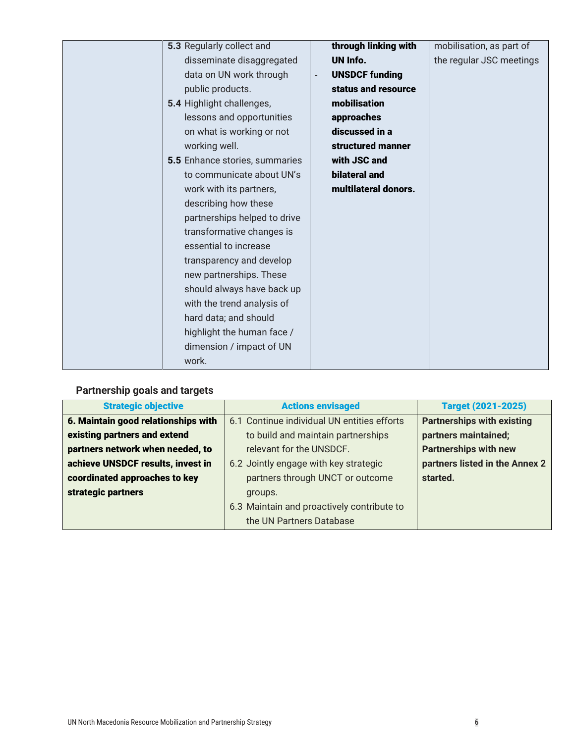| 5.3 Regularly collect and      | through linking with                    | mobilisation, as part of |
|--------------------------------|-----------------------------------------|--------------------------|
| disseminate disaggregated      | UN Info.                                | the regular JSC meetings |
| data on UN work through        | <b>UNSDCF funding</b><br>$\overline{a}$ |                          |
| public products.               | status and resource                     |                          |
| 5.4 Highlight challenges,      | mobilisation                            |                          |
| lessons and opportunities      | approaches                              |                          |
| on what is working or not      | discussed in a                          |                          |
| working well.                  | structured manner                       |                          |
| 5.5 Enhance stories, summaries | with JSC and                            |                          |
| to communicate about UN's      | bilateral and                           |                          |
| work with its partners,        | multilateral donors.                    |                          |
| describing how these           |                                         |                          |
| partnerships helped to drive   |                                         |                          |
| transformative changes is      |                                         |                          |
| essential to increase          |                                         |                          |
| transparency and develop       |                                         |                          |
| new partnerships. These        |                                         |                          |
| should always have back up     |                                         |                          |
| with the trend analysis of     |                                         |                          |
| hard data; and should          |                                         |                          |
| highlight the human face /     |                                         |                          |
| dimension / impact of UN       |                                         |                          |
| work.                          |                                         |                          |

### **Partnership goals and targets**

| <b>Strategic objective</b>          | <b>Actions envisaged</b>                    | <b>Target (2021-2025)</b>         |  |
|-------------------------------------|---------------------------------------------|-----------------------------------|--|
| 6. Maintain good relationships with | 6.1 Continue individual UN entities efforts | <b>Partnerships with existing</b> |  |
| existing partners and extend        | to build and maintain partnerships          | partners maintained;              |  |
| partners network when needed, to    | relevant for the UNSDCF.                    | <b>Partnerships with new</b>      |  |
| achieve UNSDCF results, invest in   | 6.2 Jointly engage with key strategic       | partners listed in the Annex 2    |  |
| coordinated approaches to key       | partners through UNCT or outcome            | started.                          |  |
| strategic partners                  | groups.                                     |                                   |  |
|                                     | 6.3 Maintain and proactively contribute to  |                                   |  |
|                                     | the UN Partners Database                    |                                   |  |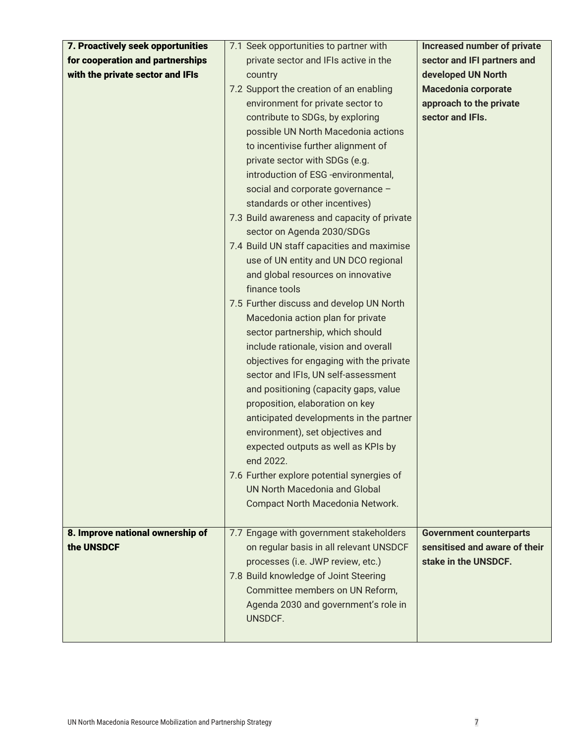| 7. Proactively seek opportunities | 7.1 Seek opportunities to partner with      | <b>Increased number of private</b> |
|-----------------------------------|---------------------------------------------|------------------------------------|
| for cooperation and partnerships  | private sector and IFIs active in the       | sector and IFI partners and        |
| with the private sector and IFIs  | country                                     | developed UN North                 |
|                                   |                                             |                                    |
|                                   | 7.2 Support the creation of an enabling     | <b>Macedonia corporate</b>         |
|                                   | environment for private sector to           | approach to the private            |
|                                   | contribute to SDGs, by exploring            | sector and IFIs.                   |
|                                   | possible UN North Macedonia actions         |                                    |
|                                   | to incentivise further alignment of         |                                    |
|                                   | private sector with SDGs (e.g.              |                                    |
|                                   | introduction of ESG -environmental,         |                                    |
|                                   | social and corporate governance -           |                                    |
|                                   | standards or other incentives)              |                                    |
|                                   | 7.3 Build awareness and capacity of private |                                    |
|                                   | sector on Agenda 2030/SDGs                  |                                    |
|                                   | 7.4 Build UN staff capacities and maximise  |                                    |
|                                   | use of UN entity and UN DCO regional        |                                    |
|                                   | and global resources on innovative          |                                    |
|                                   | finance tools                               |                                    |
|                                   | 7.5 Further discuss and develop UN North    |                                    |
|                                   | Macedonia action plan for private           |                                    |
|                                   |                                             |                                    |
|                                   | sector partnership, which should            |                                    |
|                                   | include rationale, vision and overall       |                                    |
|                                   | objectives for engaging with the private    |                                    |
|                                   | sector and IFIs, UN self-assessment         |                                    |
|                                   | and positioning (capacity gaps, value       |                                    |
|                                   | proposition, elaboration on key             |                                    |
|                                   | anticipated developments in the partner     |                                    |
|                                   | environment), set objectives and            |                                    |
|                                   | expected outputs as well as KPIs by         |                                    |
|                                   | end 2022.                                   |                                    |
|                                   | 7.6 Further explore potential synergies of  |                                    |
|                                   | <b>UN North Macedonia and Global</b>        |                                    |
|                                   | Compact North Macedonia Network.            |                                    |
|                                   |                                             |                                    |
| 8. Improve national ownership of  | 7.7 Engage with government stakeholders     | <b>Government counterparts</b>     |
| the UNSDCF                        | on regular basis in all relevant UNSDCF     | sensitised and aware of their      |
|                                   | processes (i.e. JWP review, etc.)           | stake in the UNSDCF.               |
|                                   | 7.8 Build knowledge of Joint Steering       |                                    |
|                                   | Committee members on UN Reform,             |                                    |
|                                   | Agenda 2030 and government's role in        |                                    |
|                                   | UNSDCF.                                     |                                    |
|                                   |                                             |                                    |
|                                   |                                             |                                    |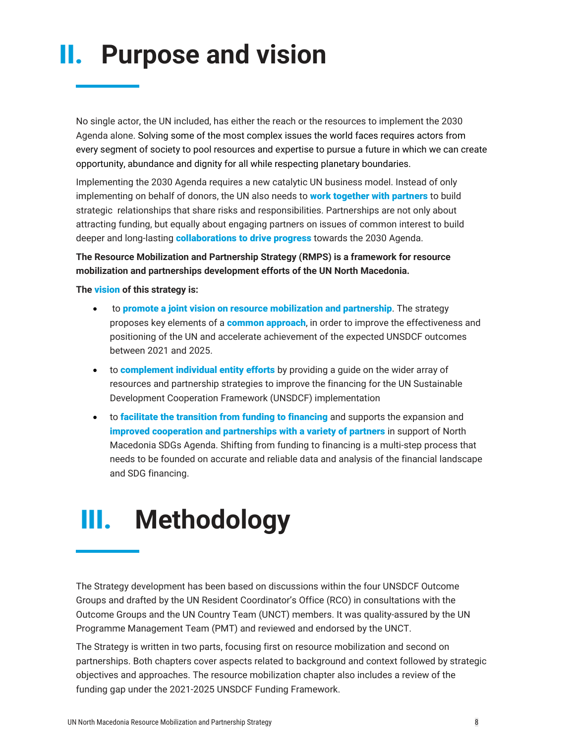# II. **Purpose and vision**

No single actor, the UN included, has either the reach or the resources to implement the 2030 Agenda alone. Solving some of the most complex issues the world faces requires actors from every segment of society to pool resources and expertise to pursue a future in which we can create opportunity, abundance and dignity for all while respecting planetary boundaries.

Implementing the 2030 Agenda requires a new catalytic UN business model. Instead of only implementing on behalf of donors, the UN also needs to **work together with partners** to build strategic relationships that share risks and responsibilities. Partnerships are not only about attracting funding, but equally about engaging partners on issues of common interest to build deeper and long-lasting **collaborations to drive progress** towards the 2030 Agenda.

**The Resource Mobilization and Partnership Strategy (RMPS) is a framework for resource mobilization and partnerships development efforts of the UN North Macedonia.**

**The** vision **of this strategy is:** 

- to promote a joint vision on resource mobilization and partnership. The strategy proposes key elements of a common approach, in order to improve the effectiveness and positioning of the UN and accelerate achievement of the expected UNSDCF outcomes between 2021 and 2025.
- to **complement individual entity efforts** by providing a guide on the wider array of resources and partnership strategies to improve the financing for the UN Sustainable Development Cooperation Framework (UNSDCF) implementation
- to facilitate the transition from funding to financing and supports the expansion and improved cooperation and partnerships with a variety of partners in support of North Macedonia SDGs Agenda. Shifting from funding to financing is a multi-step process that needs to be founded on accurate and reliable data and analysis of the financial landscape and SDG financing.

### III. **Methodology**

The Strategy development has been based on discussions within the four UNSDCF Outcome Groups and drafted by the UN Resident Coordinator's Office (RCO) in consultations with the Outcome Groups and the UN Country Team (UNCT) members. It was quality-assured by the UN Programme Management Team (PMT) and reviewed and endorsed by the UNCT.

The Strategy is written in two parts, focusing first on resource mobilization and second on partnerships. Both chapters cover aspects related to background and context followed by strategic objectives and approaches. The resource mobilization chapter also includes a review of the funding gap under the 2021-2025 UNSDCF Funding Framework.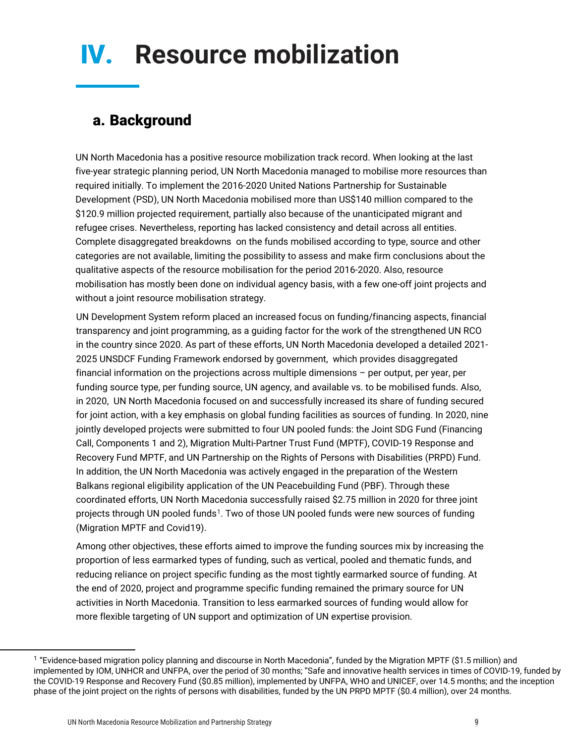# IV. **Resource mobilization**

### a. Background

UN North Macedonia has a positive resource mobilization track record. When looking at the last five-year strategic planning period, UN North Macedonia managed to mobilise more resources than required initially. To implement the 2016-2020 United Nations Partnership for Sustainable Development (PSD), UN North Macedonia mobilised more than US\$140 million compared to the \$120.9 million projected requirement, partially also because of the unanticipated migrant and refugee crises. Nevertheless, reporting has lacked consistency and detail across all entities. Complete disaggregated breakdowns on the funds mobilised according to type, source and other categories are not available, limiting the possibility to assess and make firm conclusions about the qualitative aspects of the resource mobilisation for the period 2016-2020. Also, resource mobilisation has mostly been done on individual agency basis, with a few one-off joint projects and without a joint resource mobilisation strategy.

UN Development System reform placed an increased focus on funding/financing aspects, financial transparency and joint programming, as a guiding factor for the work of the strengthened UN RCO in the country since 2020. As part of these efforts, UN North Macedonia developed a detailed 2021- 2025 UNSDCF Funding Framework endorsed by government, which provides disaggregated financial information on the projections across multiple dimensions – per output, per year, per funding source type, per funding source, UN agency, and available vs. to be mobilised funds. Also, in 2020, UN North Macedonia focused on and successfully increased its share of funding secured for joint action, with a key emphasis on global funding facilities as sources of funding. In 2020, nine jointly developed projects were submitted to four UN pooled funds: the Joint SDG Fund (Financing Call, Components 1 and 2), Migration Multi-Partner Trust Fund (MPTF), COVID-19 Response and Recovery Fund MPTF, and UN Partnership on the Rights of Persons with Disabilities (PRPD) Fund. In addition, the UN North Macedonia was actively engaged in the preparation of the Western Balkans regional eligibility application of the UN Peacebuilding Fund (PBF). Through these coordinated efforts, UN North Macedonia successfully raised \$2.75 million in 2020 for three joint projects through UN pooled funds[1.](#page-8-0) Two of those UN pooled funds were new sources of funding (Migration MPTF and Covid19).

Among other objectives, these efforts aimed to improve the funding sources mix by increasing the proportion of less earmarked types of funding, such as vertical, pooled and thematic funds, and reducing reliance on project specific funding as the most tightly earmarked source of funding. At the end of 2020, project and programme specific funding remained the primary source for UN activities in North Macedonia. Transition to less earmarked sources of funding would allow for more flexible targeting of UN support and optimization of UN expertise provision.

<span id="page-8-0"></span><sup>1</sup> "Evidence-based migration policy planning and discourse in North Macedonia", funded by the Migration MPTF (\$1.5 million) and implemented by IOM, UNHCR and UNFPA, over the period of 30 months; "Safe and innovative health services in times of COVID-19, funded by the COVID-19 Response and Recovery Fund (\$0.85 million), implemented by UNFPA, WHO and UNICEF, over 14.5 months; and the inception phase of the joint project on the rights of persons with disabilities, funded by the UN PRPD MPTF (\$0.4 million), over 24 months.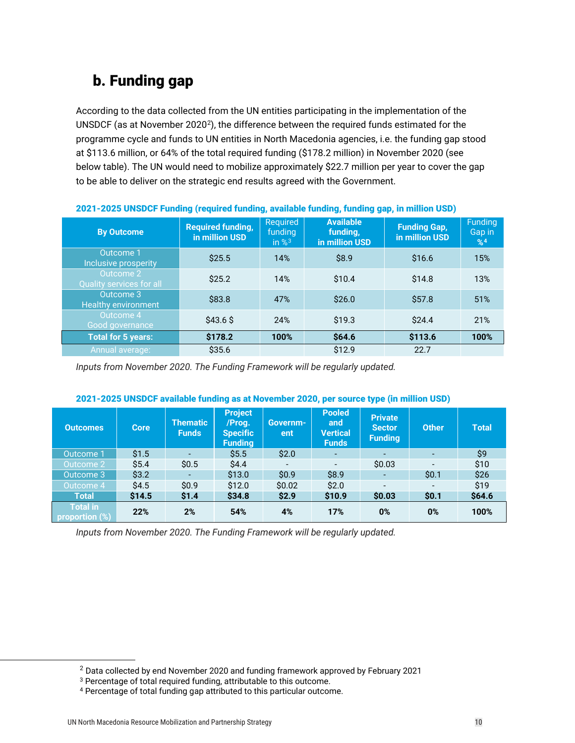### b. Funding gap

According to the data collected from the UN entities participating in the implementation of the UNSDCF (as at November 2020<sup>2</sup>), the difference between the required funds estimated for the programme cycle and funds to UN entities in North Macedonia agencies, i.e. the funding gap stood at \$113.6 million, or 64% of the total required funding (\$178.2 million) in November 2020 (see below table). The UN would need to mobilize approximately \$22.7 million per year to cover the gap to be able to deliver on the strategic end results agreed with the Government.

| <b>By Outcome</b>                       | <b>Required funding,</b><br>in million USD | Required<br>funding<br>in $\%$ <sup>3</sup> | <b>Available</b><br>funding.<br>in million USD | <b>Funding Gap,</b><br>in million USD | <b>Funding</b><br>Gap in<br>%4 |
|-----------------------------------------|--------------------------------------------|---------------------------------------------|------------------------------------------------|---------------------------------------|--------------------------------|
| Outcome 1<br>Inclusive prosperity       | \$25.5                                     | 14%                                         | \$8.9                                          | \$16.6                                | 15%                            |
| Outcome 2<br>Quality services for all   | \$25.2                                     | 14%                                         | \$10.4                                         | \$14.8                                | 13%                            |
| Outcome 3<br><b>Healthy environment</b> | \$83.8                                     | 47%                                         | \$26.0                                         | \$57.8                                | 51%                            |
| Outcome 4<br>Good governance            | \$43.6\$                                   | 24%                                         | \$19.3                                         | \$24.4                                | 21%                            |
| <b>Total for 5 years:</b>               | \$178.2                                    | 100%                                        | \$64.6                                         | \$113.6                               | 100%                           |
| Annual average:                         | \$35.6                                     |                                             | \$12.9                                         | 22.7                                  |                                |

#### 2021-2025 UNSDCF Funding (required funding, available funding, funding gap, in million USD)

*Inputs from November 2020. The Funding Framework will be regularly updated.*

| <b>Outcomes</b>                   | <b>Core</b> | Thematic <b>I</b><br><b>Funds</b> | <b>Project</b><br>/Prog.<br><b>Specific</b><br><b>Funding</b> | Governm-<br>ent | <b>Pooled</b><br>and<br>Vertical<br><b>Funds</b> | <b>Private</b><br><b>Sector</b><br><b>Funding</b> | <b>Other</b> | <b>Total</b> |
|-----------------------------------|-------------|-----------------------------------|---------------------------------------------------------------|-----------------|--------------------------------------------------|---------------------------------------------------|--------------|--------------|
| Outcome 1                         | \$1.5       |                                   | \$5.5                                                         | \$2.0           |                                                  |                                                   |              | \$9          |
| Outcome 2                         | \$5.4       | \$0.5                             | \$4.4                                                         |                 |                                                  | \$0.03                                            |              | \$10         |
| Outcome 3                         | \$3.2       |                                   | \$13.0                                                        | \$0.9           | \$8.9                                            |                                                   | \$0.1        | \$26         |
| Outcome 4                         | \$4.5       | \$0.9                             | \$12.0                                                        | \$0.02          | \$2.0                                            | $\overline{\phantom{a}}$                          |              | \$19         |
| <b>Total</b>                      | \$14.5      | \$1.4                             | \$34.8                                                        | \$2.9           | \$10.9                                           | \$0.03                                            | \$0.1        | \$64.6       |
| <b>Total in</b><br>proportion (%) | 22%         | 2%                                | 54%                                                           | 4%              | 17%                                              | 0%                                                | 0%           | 100%         |

#### 2021-2025 UNSDCF available funding as at November 2020, per source type (in million USD)

*Inputs from November 2020. The Funding Framework will be regularly updated.*

<span id="page-9-0"></span><sup>2</sup> Data collected by end November 2020 and funding framework approved by February 2021

<span id="page-9-1"></span><sup>&</sup>lt;sup>3</sup> Percentage of total required funding, attributable to this outcome.

<span id="page-9-2"></span><sup>4</sup> Percentage of total funding gap attributed to this particular outcome.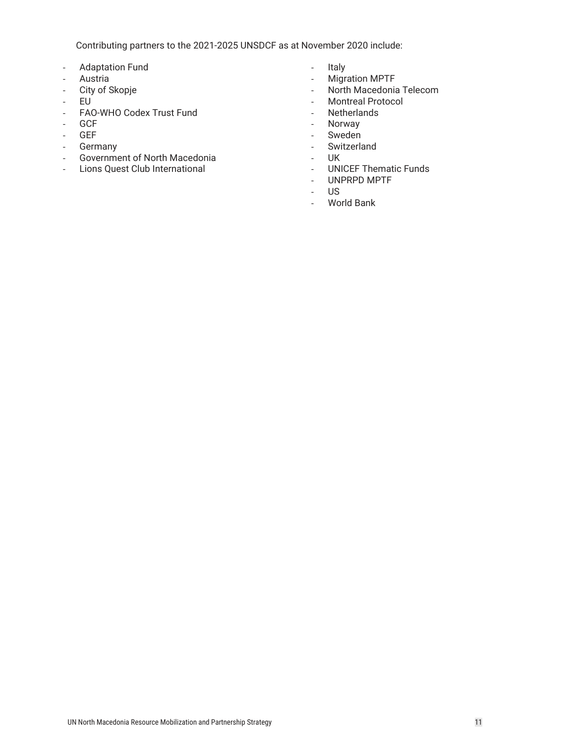Contributing partners to the 2021-2025 UNSDCF as at November 2020 include:

- Adaptation Fund
- Austria
- City of Skopje
- EU
- FAO-WHO Codex Trust Fund
- GCF
- GEF
- Germany<br>- Governme
- Government of North Macedonia
- Lions Quest Club International
- Italy
- Migration MPTF
- North Macedonia Telecom
- Montreal Protocol
- Netherlands
- Norway
- Sweden
- Switzerland
- UK
- UNICEF Thematic Funds
- UNPRPD MPTF
- US
- World Bank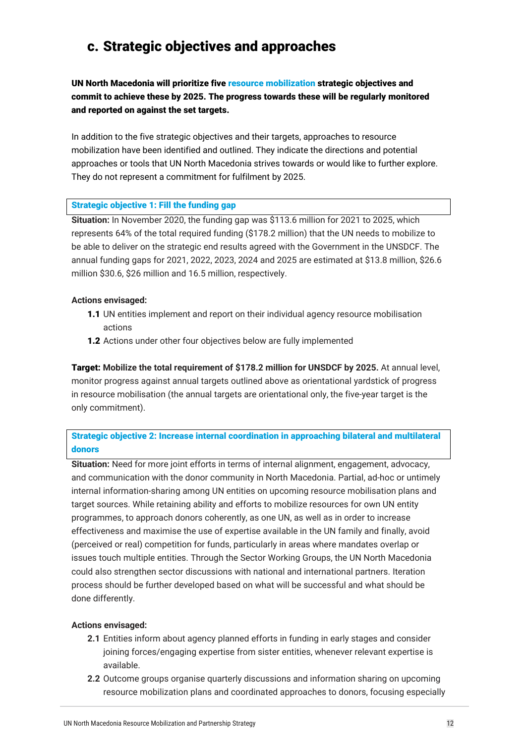### c. Strategic objectives and approaches

UN North Macedonia will prioritize five resource mobilization strategic objectives and commit to achieve these by 2025. The progress towards these will be regularly monitored and reported on against the set targets.

In addition to the five strategic objectives and their targets, approaches to resource mobilization have been identified and outlined. They indicate the directions and potential approaches or tools that UN North Macedonia strives towards or would like to further explore. They do not represent a commitment for fulfilment by 2025.

#### Strategic objective 1: Fill the funding gap

**Situation:** In November 2020, the funding gap was \$113.6 million for 2021 to 2025, which represents 64% of the total required funding (\$178.2 million) that the UN needs to mobilize to be able to deliver on the strategic end results agreed with the Government in the UNSDCF. The annual funding gaps for 2021, 2022, 2023, 2024 and 2025 are estimated at \$13.8 million, \$26.6 million \$30.6, \$26 million and 16.5 million, respectively.

#### **Actions envisaged:**

- 1.1 UN entities implement and report on their individual agency resource mobilisation actions
- **1.2** Actions under other four objectives below are fully implemented

Target: **Mobilize the total requirement of \$178.2 million for UNSDCF by 2025.** At annual level, monitor progress against annual targets outlined above as orientational yardstick of progress in resource mobilisation (the annual targets are orientational only, the five-year target is the only commitment).

Strategic objective 2: Increase internal coordination in approaching bilateral and multilateral donors

**Situation:** Need for more joint efforts in terms of internal alignment, engagement, advocacy, and communication with the donor community in North Macedonia. Partial, ad-hoc or untimely internal information-sharing among UN entities on upcoming resource mobilisation plans and target sources. While retaining ability and efforts to mobilize resources for own UN entity programmes, to approach donors coherently, as one UN, as well as in order to increase effectiveness and maximise the use of expertise available in the UN family and finally, avoid (perceived or real) competition for funds, particularly in areas where mandates overlap or issues touch multiple entities. Through the Sector Working Groups, the UN North Macedonia could also strengthen sector discussions with national and international partners. Iteration process should be further developed based on what will be successful and what should be done differently.

#### **Actions envisaged:**

- **2.1** Entities inform about agency planned efforts in funding in early stages and consider joining forces/engaging expertise from sister entities, whenever relevant expertise is available.
- **2.2** Outcome groups organise quarterly discussions and information sharing on upcoming resource mobilization plans and coordinated approaches to donors, focusing especially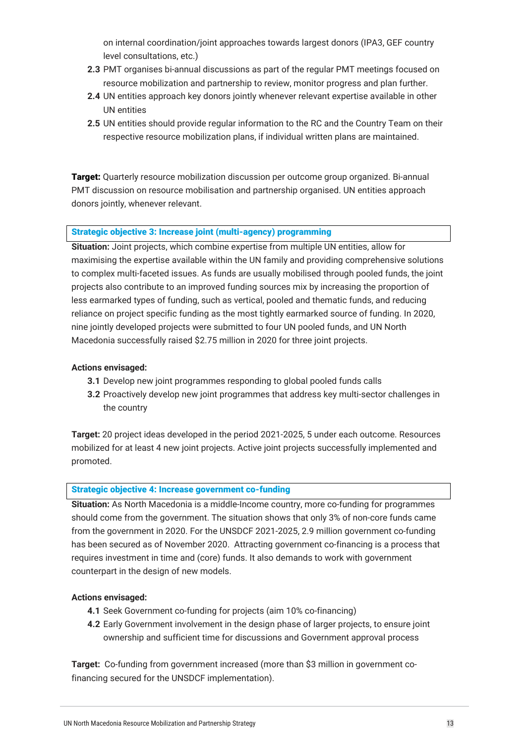on internal coordination/joint approaches towards largest donors (IPA3, GEF country level consultations, etc.)

- **2.3** PMT organises bi-annual discussions as part of the regular PMT meetings focused on resource mobilization and partnership to review, monitor progress and plan further.
- **2.4** UN entities approach key donors jointly whenever relevant expertise available in other UN entities
- **2.5** UN entities should provide regular information to the RC and the Country Team on their respective resource mobilization plans, if individual written plans are maintained.

Target: Quarterly resource mobilization discussion per outcome group organized. Bi-annual PMT discussion on resource mobilisation and partnership organised. UN entities approach donors jointly, whenever relevant.

#### Strategic objective 3: Increase joint (multi-agency) programming

**Situation:** Joint projects, which combine expertise from multiple UN entities, allow for maximising the expertise available within the UN family and providing comprehensive solutions to complex multi-faceted issues. As funds are usually mobilised through pooled funds, the joint projects also contribute to an improved funding sources mix by increasing the proportion of less earmarked types of funding, such as vertical, pooled and thematic funds, and reducing reliance on project specific funding as the most tightly earmarked source of funding. In 2020, nine jointly developed projects were submitted to four UN pooled funds, and UN North Macedonia successfully raised \$2.75 million in 2020 for three joint projects.

#### **Actions envisaged:**

- **3.1** Develop new joint programmes responding to global pooled funds calls
- **3.2** Proactively develop new joint programmes that address key multi-sector challenges in the country

**Target:** 20 project ideas developed in the period 2021-2025, 5 under each outcome. Resources mobilized for at least 4 new joint projects. Active joint projects successfully implemented and promoted.

#### Strategic objective 4: Increase government co-funding

**Situation:** As North Macedonia is a middle-Income country, more co-funding for programmes should come from the government. The situation shows that only 3% of non-core funds came from the government in 2020. For the UNSDCF 2021-2025, 2.9 million government co-funding has been secured as of November 2020. Attracting government co-financing is a process that requires investment in time and (core) funds. It also demands to work with government counterpart in the design of new models.

#### **Actions envisaged:**

- **4.1** Seek Government co-funding for projects (aim 10% co-financing)
- **4.2** Early Government involvement in the design phase of larger projects, to ensure joint ownership and sufficient time for discussions and Government approval process

**Target:** Co-funding from government increased (more than \$3 million in government cofinancing secured for the UNSDCF implementation).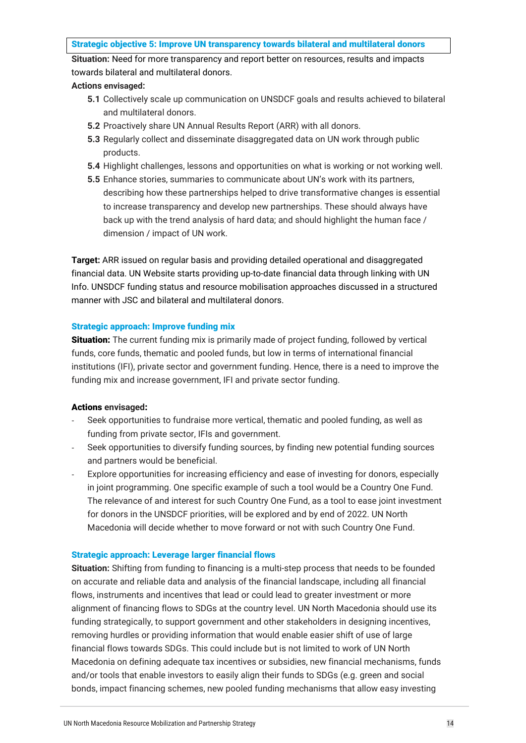#### Strategic objective 5: Improve UN transparency towards bilateral and multilateral donors

**Situation:** Need for more transparency and report better on resources, results and impacts towards bilateral and multilateral donors.

#### **Actions envisaged:**

- **5.1** Collectively scale up communication on UNSDCF goals and results achieved to bilateral and multilateral donors.
- **5.2** Proactively share UN Annual Results Report (ARR) with all donors.
- **5.3** Regularly collect and disseminate disaggregated data on UN work through public products.
- **5.4** Highlight challenges, lessons and opportunities on what is working or not working well.
- **5.5** Enhance stories, summaries to communicate about UN's work with its partners, describing how these partnerships helped to drive transformative changes is essential to increase transparency and develop new partnerships. These should always have back up with the trend analysis of hard data; and should highlight the human face / dimension / impact of UN work.

**Target:** ARR issued on regular basis and providing detailed operational and disaggregated financial data. UN Website starts providing up-to-date financial data through linking with UN Info. UNSDCF funding status and resource mobilisation approaches discussed in a structured manner with JSC and bilateral and multilateral donors.

#### Strategic approach: Improve funding mix

Situation: The current funding mix is primarily made of project funding, followed by vertical funds, core funds, thematic and pooled funds, but low in terms of international financial institutions (IFI), private sector and government funding. Hence, there is a need to improve the funding mix and increase government, IFI and private sector funding.

#### Actions **envisaged**:

- Seek opportunities to fundraise more vertical, thematic and pooled funding, as well as funding from private sector, IFIs and government.
- Seek opportunities to diversify funding sources, by finding new potential funding sources and partners would be beneficial.
- Explore opportunities for increasing efficiency and ease of investing for donors, especially in joint programming. One specific example of such a tool would be a Country One Fund. The relevance of and interest for such Country One Fund, as a tool to ease joint investment for donors in the UNSDCF priorities, will be explored and by end of 2022. UN North Macedonia will decide whether to move forward or not with such Country One Fund.

#### Strategic approach: Leverage larger financial flows

**Situation:** Shifting from funding to financing is a multi-step process that needs to be founded on accurate and reliable data and analysis of the financial landscape, including all financial flows, instruments and incentives that lead or could lead to greater investment or more alignment of financing flows to SDGs at the country level. UN North Macedonia should use its funding strategically, to support government and other stakeholders in designing incentives, removing hurdles or providing information that would enable easier shift of use of large financial flows towards SDGs. This could include but is not limited to work of UN North Macedonia on defining adequate tax incentives or subsidies, new financial mechanisms, funds and/or tools that enable investors to easily align their funds to SDGs (e.g. green and social bonds, impact financing schemes, new pooled funding mechanisms that allow easy investing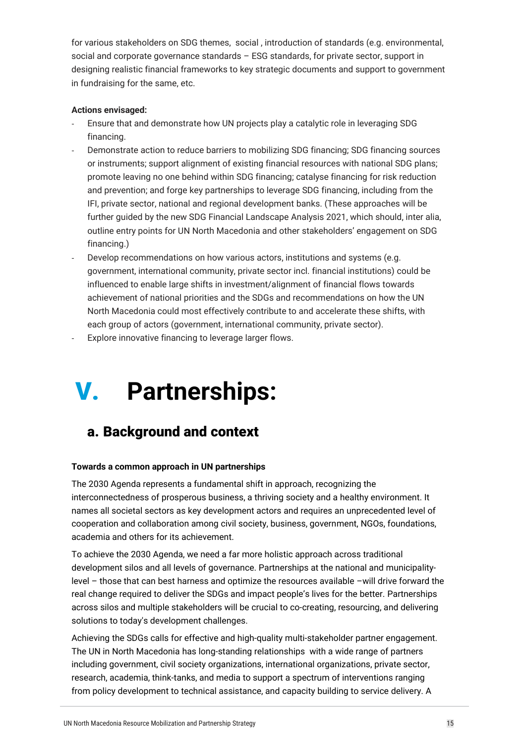for various stakeholders on SDG themes, social , introduction of standards (e.g. environmental, social and corporate governance standards – ESG standards, for private sector, support in designing realistic financial frameworks to key strategic documents and support to government in fundraising for the same, etc.

#### **Actions envisaged:**

- Ensure that and demonstrate how UN projects play a catalytic role in leveraging SDG financing.
- Demonstrate action to reduce barriers to mobilizing SDG financing; SDG financing sources or instruments; support alignment of existing financial resources with national SDG plans; promote leaving no one behind within SDG financing; catalyse financing for risk reduction and prevention; and forge key partnerships to leverage SDG financing, including from the IFI, private sector, national and regional development banks. (These approaches will be further guided by the new SDG Financial Landscape Analysis 2021, which should, inter alia, outline entry points for UN North Macedonia and other stakeholders' engagement on SDG financing.)
- Develop recommendations on how various actors, institutions and systems (e.g. government, international community, private sector incl. financial institutions) could be influenced to enable large shifts in investment/alignment of financial flows towards achievement of national priorities and the SDGs and recommendations on how the UN North Macedonia could most effectively contribute to and accelerate these shifts, with each group of actors (government, international community, private sector).
- Explore innovative financing to leverage larger flows.

# V. **Partnerships:**

### a. Background and context

#### **Towards a common approach in UN partnerships**

The 2030 Agenda represents a fundamental shift in approach, recognizing the interconnectedness of prosperous business, a thriving society and a healthy environment. It names all societal sectors as key development actors and requires an unprecedented level of cooperation and collaboration among civil society, business, government, NGOs, foundations, academia and others for its achievement.

To achieve the 2030 Agenda, we need a far more holistic approach across traditional development silos and all levels of governance. Partnerships at the national and municipalitylevel – those that can best harness and optimize the resources available –will drive forward the real change required to deliver the SDGs and impact people's lives for the better. Partnerships across silos and multiple stakeholders will be crucial to co-creating, resourcing, and delivering solutions to today's development challenges.

Achieving the SDGs calls for effective and high-quality multi-stakeholder partner engagement. The UN in North Macedonia has long-standing relationships with a wide range of partners including government, civil society organizations, international organizations, private sector, research, academia, think-tanks, and media to support a spectrum of interventions ranging from policy development to technical assistance, and capacity building to service delivery. A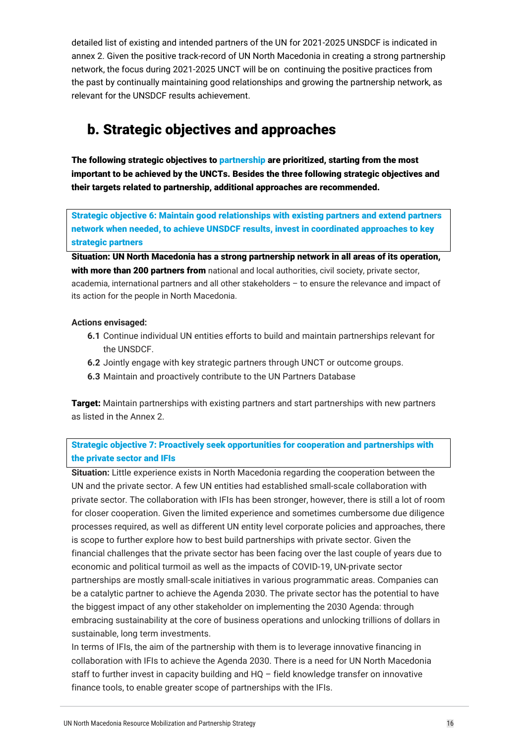detailed list of existing and intended partners of the UN for 2021-2025 UNSDCF is indicated in annex 2. Given the positive track-record of UN North Macedonia in creating a strong partnership network, the focus during 2021-2025 UNCT will be on continuing the positive practices from the past by continually maintaining good relationships and growing the partnership network, as relevant for the UNSDCF results achievement.

### b. Strategic objectives and approaches

The following strategic objectives to partnership are prioritized, starting from the most important to be achieved by the UNCTs. Besides the three following strategic objectives and their targets related to partnership, additional approaches are recommended.

Strategic objective 6: Maintain good relationships with existing partners and extend partners network when needed, to achieve UNSDCF results, invest in coordinated approaches to key strategic partners

Situation: UN North Macedonia has a strong partnership network in all areas of its operation, with more than 200 partners from national and local authorities, civil society, private sector, academia, international partners and all other stakeholders – to ensure the relevance and impact of its action for the people in North Macedonia.

#### **Actions envisaged:**

- **6.1** Continue individual UN entities efforts to build and maintain partnerships relevant for the UNSDCF.
- **6.2** Jointly engage with key strategic partners through UNCT or outcome groups.
- **6.3** Maintain and proactively contribute to the UN Partners Database

**Target:** Maintain partnerships with existing partners and start partnerships with new partners as listed in the Annex 2.

Strategic objective 7: Proactively seek opportunities for cooperation and partnerships with the private sector and IFIs

**Situation:** Little experience exists in North Macedonia regarding the cooperation between the UN and the private sector. A few UN entities had established small-scale collaboration with private sector. The collaboration with IFIs has been stronger, however, there is still a lot of room for closer cooperation. Given the limited experience and sometimes cumbersome due diligence processes required, as well as different UN entity level corporate policies and approaches, there is scope to further explore how to best build partnerships with private sector. Given the financial challenges that the private sector has been facing over the last couple of years due to economic and political turmoil as well as the impacts of COVID-19, UN-private sector partnerships are mostly small-scale initiatives in various programmatic areas. Companies can be a catalytic partner to achieve the Agenda 2030. The private sector has the potential to have the biggest impact of any other stakeholder on implementing the 2030 Agenda: through embracing sustainability at the core of business operations and unlocking trillions of dollars in sustainable, long term investments.

In terms of IFIs, the aim of the partnership with them is to leverage innovative financing in collaboration with IFIs to achieve the Agenda 2030. There is a need for UN North Macedonia staff to further invest in capacity building and HQ – field knowledge transfer on innovative finance tools, to enable greater scope of partnerships with the IFIs.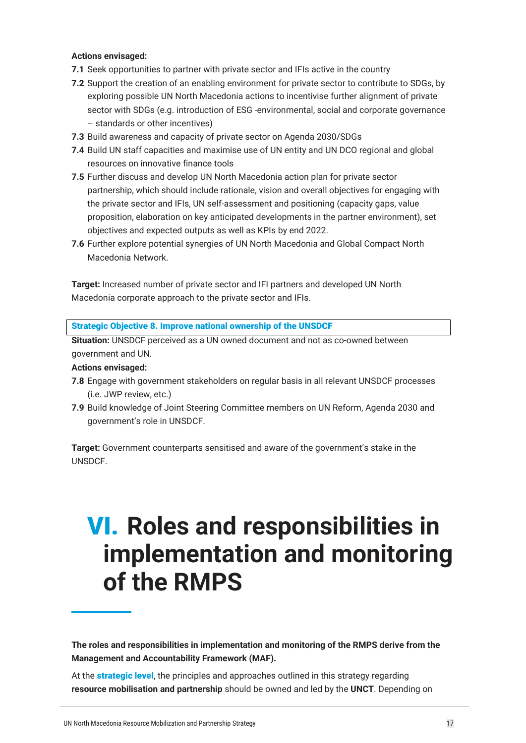#### **Actions envisaged:**

- **7.1** Seek opportunities to partner with private sector and IFIs active in the country
- **7.2** Support the creation of an enabling environment for private sector to contribute to SDGs, by exploring possible UN North Macedonia actions to incentivise further alignment of private sector with SDGs (e.g. introduction of ESG -environmental, social and corporate governance – standards or other incentives)
- **7.3** Build awareness and capacity of private sector on Agenda 2030/SDGs
- **7.4** Build UN staff capacities and maximise use of UN entity and UN DCO regional and global resources on innovative finance tools
- **7.5** Further discuss and develop UN North Macedonia action plan for private sector partnership, which should include rationale, vision and overall objectives for engaging with the private sector and IFIs, UN self-assessment and positioning (capacity gaps, value proposition, elaboration on key anticipated developments in the partner environment), set objectives and expected outputs as well as KPIs by end 2022.
- **7.6** Further explore potential synergies of UN North Macedonia and Global Compact North Macedonia Network.

**Target:** Increased number of private sector and IFI partners and developed UN North Macedonia corporate approach to the private sector and IFIs.

Strategic Objective 8. Improve national ownership of the UNSDCF

**Situation:** UNSDCF perceived as a UN owned document and not as co-owned between government and UN.

#### **Actions envisaged:**

- **7.8** Engage with government stakeholders on regular basis in all relevant UNSDCF processes (i.e. JWP review, etc.)
- **7.9** Build knowledge of Joint Steering Committee members on UN Reform, Agenda 2030 and government's role in UNSDCF.

**Target:** Government counterparts sensitised and aware of the government's stake in the UNSDCF.

### VI. **Roles and responsibilities in implementation and monitoring of the RMPS**

**The roles and responsibilities in implementation and monitoring of the RMPS derive from the Management and Accountability Framework (MAF).** 

At the **strategic level**, the principles and approaches outlined in this strategy regarding **resource mobilisation and partnership** should be owned and led by the **UNCT**. Depending on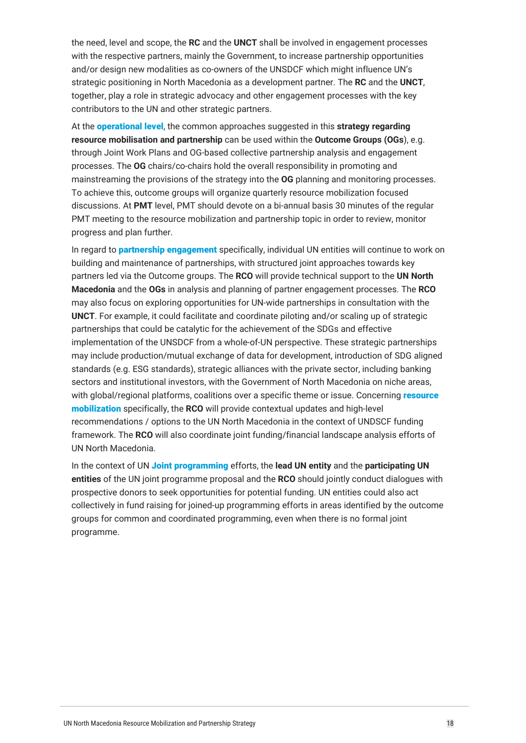the need, level and scope, the **RC** and the **UNCT** shall be involved in engagement processes with the respective partners, mainly the Government, to increase partnership opportunities and/or design new modalities as co-owners of the UNSDCF which might influence UN's strategic positioning in North Macedonia as a development partner. The **RC** and the **UNCT**, together, play a role in strategic advocacy and other engagement processes with the key contributors to the UN and other strategic partners.

At the operational level, the common approaches suggested in this **strategy regarding resource mobilisation and partnership** can be used within the **Outcome Groups (OGs**), e.g. through Joint Work Plans and OG-based collective partnership analysis and engagement processes. The **OG** chairs/co-chairs hold the overall responsibility in promoting and mainstreaming the provisions of the strategy into the **OG** planning and monitoring processes. To achieve this, outcome groups will organize quarterly resource mobilization focused discussions. At **PMT** level, PMT should devote on a bi-annual basis 30 minutes of the regular PMT meeting to the resource mobilization and partnership topic in order to review, monitor progress and plan further.

In regard to **partnership engagement** specifically, individual UN entities will continue to work on building and maintenance of partnerships, with structured joint approaches towards key partners led via the Outcome groups. The **RCO** will provide technical support to the **UN North Macedonia** and the **OGs** in analysis and planning of partner engagement processes. The **RCO** may also focus on exploring opportunities for UN-wide partnerships in consultation with the **UNCT**. For example, it could facilitate and coordinate piloting and/or scaling up of strategic partnerships that could be catalytic for the achievement of the SDGs and effective implementation of the UNSDCF from a whole-of-UN perspective. These strategic partnerships may include production/mutual exchange of data for development, introduction of SDG aligned standards (e.g. ESG standards), strategic alliances with the private sector, including banking sectors and institutional investors, with the Government of North Macedonia on niche areas, with global/regional platforms, coalitions over a specific theme or issue. Concerning resource mobilization specifically, the **RCO** will provide contextual updates and high-level recommendations / options to the UN North Macedonia in the context of UNDSCF funding framework. The **RCO** will also coordinate joint funding/financial landscape analysis efforts of UN North Macedonia.

In the context of UN Joint programming efforts, the **lead UN entity** and the **participating UN entities** of the UN joint programme proposal and the **RCO** should jointly conduct dialogues with prospective donors to seek opportunities for potential funding. UN entities could also act collectively in fund raising for joined-up programming efforts in areas identified by the outcome groups for common and coordinated programming, even when there is no formal joint programme.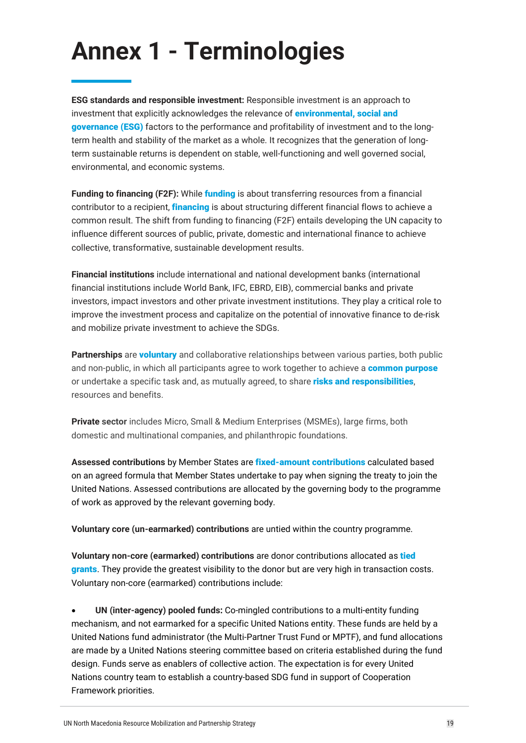## **Annex 1 - Terminologies**

**ESG standards and responsible investment:** Responsible investment is an approach to investment that explicitly acknowledges the relevance of **environmental, social and** governance (ESG) factors to the performance and profitability of investment and to the longterm health and stability of the market as a whole. It recognizes that the generation of longterm sustainable returns is dependent on stable, well-functioning and well governed social, environmental, and economic systems.

**Funding to financing (F2F):** While funding is about transferring resources from a financial contributor to a recipient, *financing* is about structuring different financial flows to achieve a common result. The shift from funding to financing (F2F) entails developing the UN capacity to influence different sources of public, private, domestic and international finance to achieve collective, transformative, sustainable development results.

**Financial institutions** include international and national development banks (international financial institutions include World Bank, IFC, EBRD, EIB), commercial banks and private investors, impact investors and other private investment institutions. They play a critical role to improve the investment process and capitalize on the potential of innovative finance to de-risk and mobilize private investment to achieve the SDGs.

**Partnerships** are voluntary and collaborative relationships between various parties, both public and non-public, in which all participants agree to work together to achieve a **common purpose** or undertake a specific task and, as mutually agreed, to share risks and responsibilities, resources and benefits.

**Private sector** includes Micro, Small & Medium Enterprises (MSMEs), large firms, both domestic and multinational companies, and philanthropic foundations.

**Assessed contributions** by Member States are fixed-amount contributions calculated based on an agreed formula that Member States undertake to pay when signing the treaty to join the United Nations. Assessed contributions are allocated by the governing body to the programme of work as approved by the relevant governing body.

**Voluntary core (un-earmarked) contributions** are untied within the country programme.

**Voluntary non-core (earmarked) contributions** are donor contributions allocated as tied grants. They provide the greatest visibility to the donor but are very high in transaction costs. Voluntary non-core (earmarked) contributions include:

• **UN (inter-agency) pooled funds:** Co-mingled contributions to a multi-entity funding mechanism, and not earmarked for a specific United Nations entity. These funds are held by a United Nations fund administrator (the Multi-Partner Trust Fund or MPTF), and fund allocations are made by a United Nations steering committee based on criteria established during the fund design. Funds serve as enablers of collective action. The expectation is for every United Nations country team to establish a country-based SDG fund in support of Cooperation Framework priorities.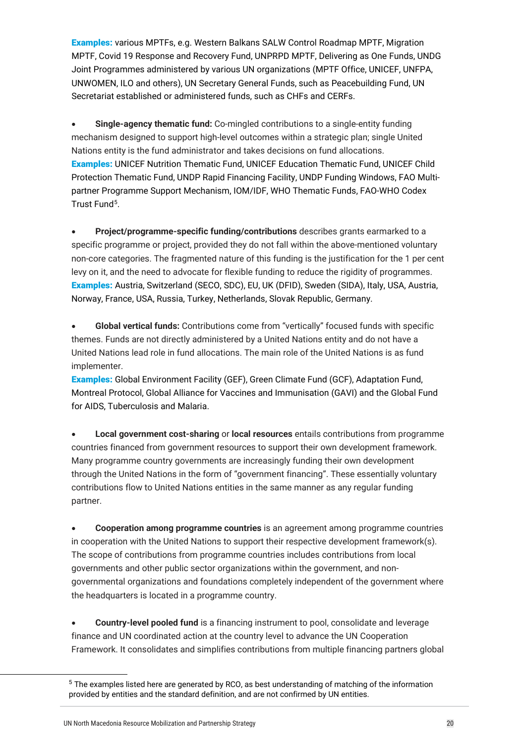**Examples:** various MPTFs, e.g. Western Balkans SALW Control Roadmap MPTF, Migration MPTF, Covid 19 Response and Recovery Fund, UNPRPD MPTF, Delivering as One Funds, UNDG Joint Programmes administered by various UN organizations (MPTF Office, UNICEF, UNFPA, UNWOMEN, ILO and others), UN Secretary General Funds, such as Peacebuilding Fund, UN Secretariat established or administered funds, such as CHFs and CERFs.

• **Single-agency thematic fund:** Co-mingled contributions to a single-entity funding mechanism designed to support high-level outcomes within a strategic plan; single United Nations entity is the fund administrator and takes decisions on fund allocations. Examples: UNICEF Nutrition Thematic Fund, UNICEF Education Thematic Fund, UNICEF Child Protection Thematic Fund, UNDP Rapid Financing Facility, UNDP Funding Windows, FAO Multipartner Programme Support Mechanism, IOM/IDF, WHO Thematic Funds, FAO-WHO Codex Trust Fund[5.](#page-19-0)

• **Project/programme-specific funding/contributions** describes grants earmarked to a specific programme or project, provided they do not fall within the above-mentioned voluntary non-core categories. The fragmented nature of this funding is the justification for the 1 per cent levy on it, and the need to advocate for flexible funding to reduce the rigidity of programmes. Examples: Austria, Switzerland (SECO, SDC), EU, UK (DFID), Sweden (SIDA), Italy, USA, Austria, Norway, France, USA, Russia, Turkey, Netherlands, Slovak Republic, Germany.

• **Global vertical funds:** Contributions come from "vertically" focused funds with specific themes. Funds are not directly administered by a United Nations entity and do not have a United Nations lead role in fund allocations. The main role of the United Nations is as fund implementer.

**Examples:** Global Environment Facility (GEF), Green Climate Fund (GCF), Adaptation Fund, Montreal Protocol, Global Alliance for Vaccines and Immunisation (GAVI) and the Global Fund for AIDS, Tuberculosis and Malaria.

• **Local government cost-sharing** or **local resources** entails contributions from programme countries financed from government resources to support their own development framework. Many programme country governments are increasingly funding their own development through the United Nations in the form of "government financing". These essentially voluntary contributions flow to United Nations entities in the same manner as any regular funding partner.

• **Cooperation among programme countries** is an agreement among programme countries in cooperation with the United Nations to support their respective development framework(s). The scope of contributions from programme countries includes contributions from local governments and other public sector organizations within the government, and nongovernmental organizations and foundations completely independent of the government where the headquarters is located in a programme country.

• **Country-level pooled fund** is a financing instrument to pool, consolidate and leverage finance and UN coordinated action at the country level to advance the UN Cooperation Framework. It consolidates and simplifies contributions from multiple financing partners global

<span id="page-19-0"></span><sup>&</sup>lt;sup>5</sup> The examples listed here are generated by RCO, as best understanding of matching of the information provided by entities and the standard definition, and are not confirmed by UN entities.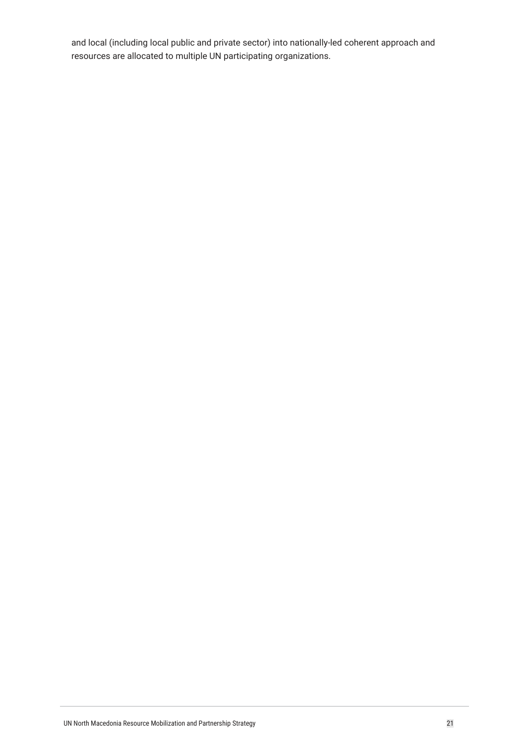and local (including local public and private sector) into nationally-led coherent approach and resources are allocated to multiple UN participating organizations.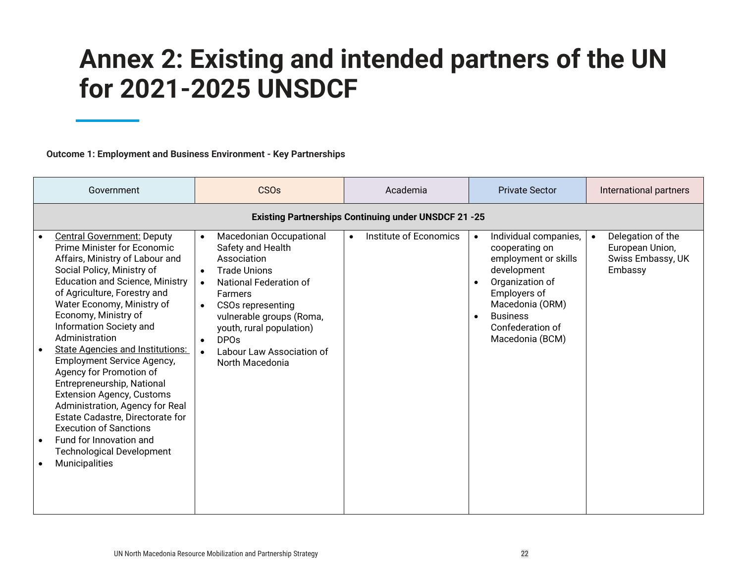### **Annex 2: Existing and intended partners of the UN for 2021-2025 UNSDCF**

**Outcome 1: Employment and Business Environment - Key Partnerships**

| Government                                                                                                                                                                                                                                                                                                                                                                                                                                                                                                                                                                                                                                                                                  | <b>CSOs</b>                                                                                                                                                                                                                                                                                                                                 | Academia                            | <b>Private Sector</b>                                                                                                                                                                                                    | International partners                                               |  |  |  |  |
|---------------------------------------------------------------------------------------------------------------------------------------------------------------------------------------------------------------------------------------------------------------------------------------------------------------------------------------------------------------------------------------------------------------------------------------------------------------------------------------------------------------------------------------------------------------------------------------------------------------------------------------------------------------------------------------------|---------------------------------------------------------------------------------------------------------------------------------------------------------------------------------------------------------------------------------------------------------------------------------------------------------------------------------------------|-------------------------------------|--------------------------------------------------------------------------------------------------------------------------------------------------------------------------------------------------------------------------|----------------------------------------------------------------------|--|--|--|--|
|                                                                                                                                                                                                                                                                                                                                                                                                                                                                                                                                                                                                                                                                                             | <b>Existing Partnerships Continuing under UNSDCF 21 -25</b>                                                                                                                                                                                                                                                                                 |                                     |                                                                                                                                                                                                                          |                                                                      |  |  |  |  |
| <b>Central Government: Deputy</b><br>Prime Minister for Economic<br>Affairs, Ministry of Labour and<br>Social Policy, Ministry of<br><b>Education and Science, Ministry</b><br>of Agriculture, Forestry and<br>Water Economy, Ministry of<br>Economy, Ministry of<br>Information Society and<br>Administration<br><b>State Agencies and Institutions:</b><br><b>Employment Service Agency,</b><br>Agency for Promotion of<br>Entrepreneurship, National<br><b>Extension Agency, Customs</b><br>Administration, Agency for Real<br>Estate Cadastre, Directorate for<br><b>Execution of Sanctions</b><br>Fund for Innovation and<br><b>Technological Development</b><br><b>Municipalities</b> | Macedonian Occupational<br>$\bullet$<br>Safety and Health<br>Association<br><b>Trade Unions</b><br>$\bullet$<br>National Federation of<br>$\bullet$<br>Farmers<br><b>CSOs representing</b><br>$\bullet$<br>vulnerable groups (Roma,<br>youth, rural population)<br><b>DPOs</b><br>$\bullet$<br>Labour Law Association of<br>North Macedonia | Institute of Economics<br>$\bullet$ | Individual companies,<br>$\bullet$<br>cooperating on<br>employment or skills<br>development<br>Organization of<br>Employers of<br>Macedonia (ORM)<br><b>Business</b><br>$\bullet$<br>Confederation of<br>Macedonia (BCM) | Delegation of the<br>European Union,<br>Swiss Embassy, UK<br>Embassy |  |  |  |  |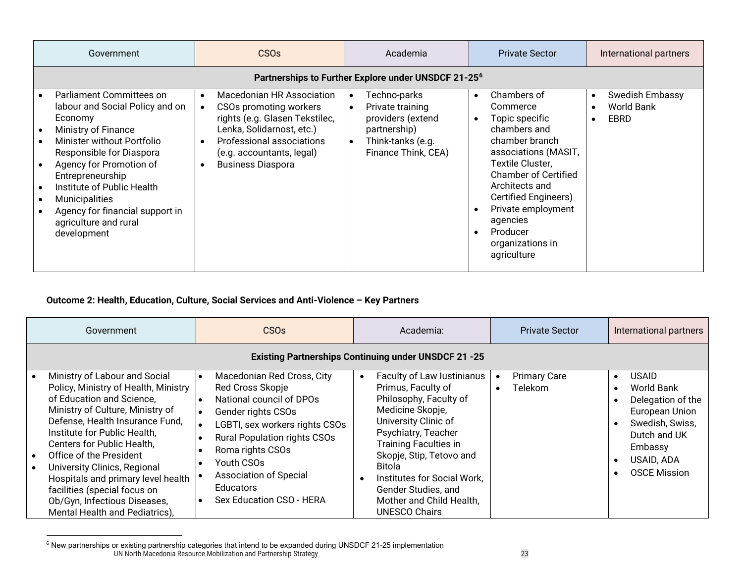<span id="page-22-0"></span>

| Government                                                                                                                                                                                                                                                                                                                               | CS <sub>Os</sub>                                                                                                                                                                                         | Academia                                                                                                                                                 | <b>Private Sector</b>                                                                                                                                                                                                                                                                          | International partners                                                        |  |  |  |  |  |
|------------------------------------------------------------------------------------------------------------------------------------------------------------------------------------------------------------------------------------------------------------------------------------------------------------------------------------------|----------------------------------------------------------------------------------------------------------------------------------------------------------------------------------------------------------|----------------------------------------------------------------------------------------------------------------------------------------------------------|------------------------------------------------------------------------------------------------------------------------------------------------------------------------------------------------------------------------------------------------------------------------------------------------|-------------------------------------------------------------------------------|--|--|--|--|--|
| Partnerships to Further Explore under UNSDCF 21-25 <sup>6</sup>                                                                                                                                                                                                                                                                          |                                                                                                                                                                                                          |                                                                                                                                                          |                                                                                                                                                                                                                                                                                                |                                                                               |  |  |  |  |  |
| Parliament Committees on<br>labour and Social Policy and on<br>Economy<br>Ministry of Finance<br>Minister without Portfolio<br>Responsible for Diaspora<br>Agency for Promotion of<br>Entrepreneurship<br>Institute of Public Health<br><b>Municipalities</b><br>Agency for financial support in<br>agriculture and rural<br>development | Macedonian HR Association<br>CSOs promoting workers<br>rights (e.g. Glasen Tekstilec,<br>Lenka, Solidarnost, etc.)<br>Professional associations<br>(e.g. accountants, legal)<br><b>Business Diaspora</b> | Techno-parks<br>$\bullet$<br>Private training<br>$\bullet$<br>providers (extend<br>partnership)<br>Think-tanks (e.g.<br>$\bullet$<br>Finance Think, CEA) | Chambers of<br>$\bullet$<br>Commerce<br>Topic specific<br>chambers and<br>chamber branch<br>associations (MASIT,<br>Textile Cluster,<br><b>Chamber of Certified</b><br>Architects and<br>Certified Engineers)<br>Private employment<br>agencies<br>Producer<br>organizations in<br>agriculture | <b>Swedish Embassy</b><br>$\bullet$<br><b>World Bank</b><br>EBRD<br>$\bullet$ |  |  |  |  |  |

#### **Outcome 2: Health, Education, Culture, Social Services and Anti-Violence – Key Partners**

| Government |                                                                                                                                                                                                                                                                                                                                                                                                                                            | CSO <sub>s</sub><br>Academia:                                                                                                                                                                                                                                                                |                                                                                                                                                                                                                                                                                                                                                         | <b>Private Sector</b>                              | International partners                                                                                                                                            |  |  |
|------------|--------------------------------------------------------------------------------------------------------------------------------------------------------------------------------------------------------------------------------------------------------------------------------------------------------------------------------------------------------------------------------------------------------------------------------------------|----------------------------------------------------------------------------------------------------------------------------------------------------------------------------------------------------------------------------------------------------------------------------------------------|---------------------------------------------------------------------------------------------------------------------------------------------------------------------------------------------------------------------------------------------------------------------------------------------------------------------------------------------------------|----------------------------------------------------|-------------------------------------------------------------------------------------------------------------------------------------------------------------------|--|--|
|            | <b>Existing Partnerships Continuing under UNSDCF 21 -25</b>                                                                                                                                                                                                                                                                                                                                                                                |                                                                                                                                                                                                                                                                                              |                                                                                                                                                                                                                                                                                                                                                         |                                                    |                                                                                                                                                                   |  |  |
|            | Ministry of Labour and Social<br>Policy, Ministry of Health, Ministry<br>of Education and Science,<br>Ministry of Culture, Ministry of<br>Defense, Health Insurance Fund,<br>Institute for Public Health,<br>Centers for Public Health,<br>Office of the President<br>University Clinics, Regional<br>Hospitals and primary level health<br>facilities (special focus on<br>Ob/Gyn, Infectious Diseases,<br>Mental Health and Pediatrics), | Macedonian Red Cross, City<br>Red Cross Skopje<br>National council of DPOs<br>Gender rights CSOs<br>LGBTI, sex workers rights CSOs<br><b>Rural Population rights CSOs</b><br>Roma rights CSOs<br>Youth CSOs<br><b>Association of Special</b><br><b>Educators</b><br>Sex Education CSO - HERA | Faculty of Law Iustinianus<br>$\bullet$<br>Primus, Faculty of<br>Philosophy, Faculty of<br>Medicine Skopje,<br>University Clinic of<br>Psychiatry, Teacher<br><b>Training Faculties in</b><br>Skopje, Stip, Tetovo and<br>Bitola<br>Institutes for Social Work,<br>$\bullet$<br>Gender Studies, and<br>Mother and Child Health,<br><b>UNESCO Chairs</b> | <b>Primary Care</b><br><b>Telekom</b><br>$\bullet$ | <b>USAID</b><br>$\bullet$<br>World Bank<br>Delegation of the<br>European Union<br>Swedish, Swiss,<br>Dutch and UK<br>Embassy<br>USAID, ADA<br><b>OSCE Mission</b> |  |  |

UN North Macedonia Resource Mobilization and Partnership Strategy 23  $^6$  New partnerships or existing partnership categories that intend to be expanded during UNSDCF 21-25 implementation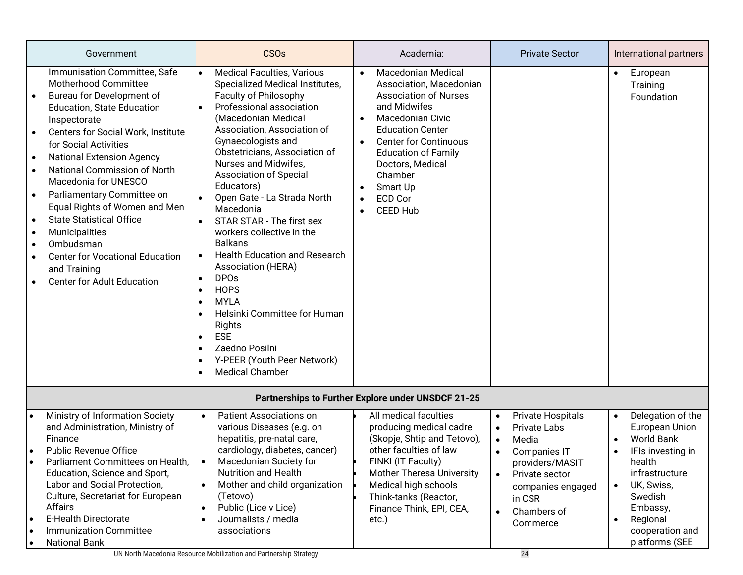|                                                                                                                   | Government                                                                                                                                                                                                                                                                                                                                                                                                                                                                                                                               |                                                               | <b>CSO<sub>s</sub></b>                                                                                                                                                                                                                                                                                                                                                                                                                                                                                                                                                                                                                                                              |                                                               | Academia:                                                                                                                                                                                                                                                                                                |                                                                            | <b>Private Sector</b>                                                                                                                                     |                                                  | International partners                                                                                                                                                                          |
|-------------------------------------------------------------------------------------------------------------------|------------------------------------------------------------------------------------------------------------------------------------------------------------------------------------------------------------------------------------------------------------------------------------------------------------------------------------------------------------------------------------------------------------------------------------------------------------------------------------------------------------------------------------------|---------------------------------------------------------------|-------------------------------------------------------------------------------------------------------------------------------------------------------------------------------------------------------------------------------------------------------------------------------------------------------------------------------------------------------------------------------------------------------------------------------------------------------------------------------------------------------------------------------------------------------------------------------------------------------------------------------------------------------------------------------------|---------------------------------------------------------------|----------------------------------------------------------------------------------------------------------------------------------------------------------------------------------------------------------------------------------------------------------------------------------------------------------|----------------------------------------------------------------------------|-----------------------------------------------------------------------------------------------------------------------------------------------------------|--------------------------------------------------|-------------------------------------------------------------------------------------------------------------------------------------------------------------------------------------------------|
| $\bullet$<br>$\bullet$<br>$\bullet$<br>$\bullet$<br>$\bullet$<br>$\bullet$<br>$\bullet$<br>$\bullet$<br>$\bullet$ | Immunisation Committee, Safe<br><b>Motherhood Committee</b><br>Bureau for Development of<br><b>Education, State Education</b><br>Inspectorate<br>Centers for Social Work, Institute<br>for Social Activities<br><b>National Extension Agency</b><br>National Commission of North<br>Macedonia for UNESCO<br>Parliamentary Committee on<br>Equal Rights of Women and Men<br><b>State Statistical Office</b><br>Municipalities<br>Ombudsman<br><b>Center for Vocational Education</b><br>and Training<br><b>Center for Adult Education</b> | $\bullet$<br>$\bullet$<br>$\bullet$<br>$\bullet$<br>$\bullet$ | <b>Medical Faculties, Various</b><br>Specialized Medical Institutes,<br>Faculty of Philosophy<br>Professional association<br>(Macedonian Medical<br>Association, Association of<br>Gynaecologists and<br>Obstetricians, Association of<br>Nurses and Midwifes,<br><b>Association of Special</b><br>Educators)<br>Open Gate - La Strada North<br>Macedonia<br>STAR STAR - The first sex<br>workers collective in the<br><b>Balkans</b><br><b>Health Education and Research</b><br>Association (HERA)<br><b>DPOs</b><br><b>HOPS</b><br><b>MYLA</b><br>Helsinki Committee for Human<br>Rights<br><b>ESE</b><br>Zaedno Posilni<br>Y-PEER (Youth Peer Network)<br><b>Medical Chamber</b> | $\bullet$<br>$\bullet$<br>$\bullet$<br>$\bullet$<br>$\bullet$ | <b>Macedonian Medical</b><br>Association, Macedonian<br><b>Association of Nurses</b><br>and Midwifes<br><b>Macedonian Civic</b><br><b>Education Center</b><br><b>Center for Continuous</b><br><b>Education of Family</b><br>Doctors, Medical<br>Chamber<br>Smart Up<br><b>ECD Cor</b><br><b>CEED Hub</b> |                                                                            |                                                                                                                                                           | $\bullet$                                        | European<br>Training<br>Foundation                                                                                                                                                              |
|                                                                                                                   |                                                                                                                                                                                                                                                                                                                                                                                                                                                                                                                                          |                                                               |                                                                                                                                                                                                                                                                                                                                                                                                                                                                                                                                                                                                                                                                                     |                                                               | Partnerships to Further Explore under UNSDCF 21-25                                                                                                                                                                                                                                                       |                                                                            |                                                                                                                                                           |                                                  |                                                                                                                                                                                                 |
| $\bullet$<br>$\bullet$<br>$\bullet$<br>$\bullet$                                                                  | Ministry of Information Society<br>and Administration, Ministry of<br>Finance<br><b>Public Revenue Office</b><br>Parliament Committees on Health,<br>Education, Science and Sport,<br>Labor and Social Protection,<br>Culture, Secretariat for European<br><b>Affairs</b><br><b>E-Health Directorate</b><br><b>Immunization Committee</b><br><b>National Bank</b>                                                                                                                                                                        | $\bullet$<br>$\bullet$<br>$\bullet$<br>$\bullet$<br>$\bullet$ | Patient Associations on<br>various Diseases (e.g. on<br>hepatitis, pre-natal care,<br>cardiology, diabetes, cancer)<br>Macedonian Society for<br><b>Nutrition and Health</b><br>Mother and child organization<br>(Tetovo)<br>Public (Lice v Lice)<br>Journalists / media<br>associations                                                                                                                                                                                                                                                                                                                                                                                            |                                                               | All medical faculties<br>producing medical cadre<br>(Skopje, Shtip and Tetovo),<br>other faculties of law<br>FINKI (IT Faculty)<br><b>Mother Theresa University</b><br>Medical high schools<br>Think-tanks (Reactor,<br>Finance Think, EPI, CEA,<br>etc.)                                                | $\bullet$<br>$\bullet$<br>$\bullet$<br>$\bullet$<br>$\bullet$<br>$\bullet$ | Private Hospitals<br>Private Labs<br>Media<br>Companies IT<br>providers/MASIT<br>Private sector<br>companies engaged<br>in CSR<br>Chambers of<br>Commerce | $\bullet$<br>$\bullet$<br>$\bullet$<br>$\bullet$ | Delegation of the<br>European Union<br><b>World Bank</b><br>IFIs investing in<br>health<br>infrastructure<br>UK, Swiss,<br>Swedish<br>Embassy,<br>Regional<br>cooperation and<br>platforms (SEE |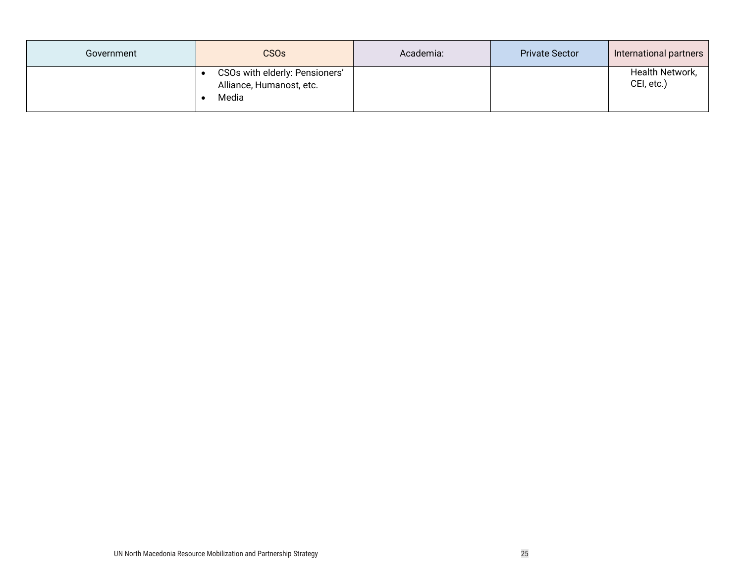| Government | CSO <sub>s</sub>                                                    | Academia: | <b>Private Sector</b> | International partners        |
|------------|---------------------------------------------------------------------|-----------|-----------------------|-------------------------------|
|            | CSOs with elderly: Pensioners'<br>Alliance, Humanost, etc.<br>Media |           |                       | Health Network,<br>CEI, etc.) |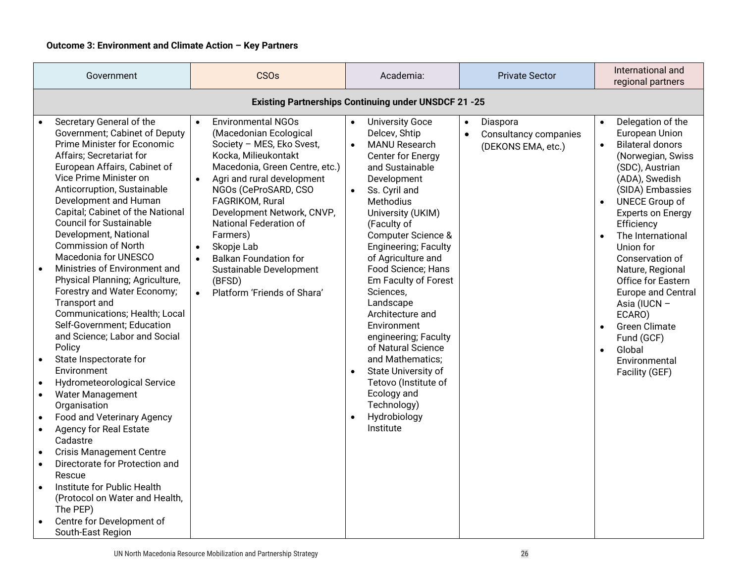| Government                                                                                                                                                                                                                                                                                                                                                                                                                                                                                                                                                                                                                                                                                                                                                                                                                                                                                                                                                                                                                                                                                                                                                              | <b>CSOs</b>                                                                                                                                                                                                                                                                                                                                                                                                                                                                | Academia:                                                                                                                                                                                                                                                                                                                                                                                                                                                                                                                                                                            | <b>Private Sector</b>                                                             | International and<br>regional partners                                                                                                                                                                                                                                                                                                                                                                                                                                                          |  |  |  |  |  |
|-------------------------------------------------------------------------------------------------------------------------------------------------------------------------------------------------------------------------------------------------------------------------------------------------------------------------------------------------------------------------------------------------------------------------------------------------------------------------------------------------------------------------------------------------------------------------------------------------------------------------------------------------------------------------------------------------------------------------------------------------------------------------------------------------------------------------------------------------------------------------------------------------------------------------------------------------------------------------------------------------------------------------------------------------------------------------------------------------------------------------------------------------------------------------|----------------------------------------------------------------------------------------------------------------------------------------------------------------------------------------------------------------------------------------------------------------------------------------------------------------------------------------------------------------------------------------------------------------------------------------------------------------------------|--------------------------------------------------------------------------------------------------------------------------------------------------------------------------------------------------------------------------------------------------------------------------------------------------------------------------------------------------------------------------------------------------------------------------------------------------------------------------------------------------------------------------------------------------------------------------------------|-----------------------------------------------------------------------------------|-------------------------------------------------------------------------------------------------------------------------------------------------------------------------------------------------------------------------------------------------------------------------------------------------------------------------------------------------------------------------------------------------------------------------------------------------------------------------------------------------|--|--|--|--|--|
| <b>Existing Partnerships Continuing under UNSDCF 21 -25</b>                                                                                                                                                                                                                                                                                                                                                                                                                                                                                                                                                                                                                                                                                                                                                                                                                                                                                                                                                                                                                                                                                                             |                                                                                                                                                                                                                                                                                                                                                                                                                                                                            |                                                                                                                                                                                                                                                                                                                                                                                                                                                                                                                                                                                      |                                                                                   |                                                                                                                                                                                                                                                                                                                                                                                                                                                                                                 |  |  |  |  |  |
| Secretary General of the<br>Government; Cabinet of Deputy<br>Prime Minister for Economic<br>Affairs; Secretariat for<br>European Affairs, Cabinet of<br>Vice Prime Minister on<br>Anticorruption, Sustainable<br>Development and Human<br>Capital; Cabinet of the National<br><b>Council for Sustainable</b><br>Development, National<br><b>Commission of North</b><br>Macedonia for UNESCO<br>Ministries of Environment and<br>$\bullet$<br>Physical Planning; Agriculture,<br>Forestry and Water Economy;<br>Transport and<br>Communications; Health; Local<br>Self-Government; Education<br>and Science; Labor and Social<br>Policy<br>State Inspectorate for<br>$\bullet$<br>Environment<br>Hydrometeorological Service<br>$\bullet$<br><b>Water Management</b><br>$\bullet$<br>Organisation<br>Food and Veterinary Agency<br>$\bullet$<br><b>Agency for Real Estate</b><br>$\bullet$<br>Cadastre<br><b>Crisis Management Centre</b><br>$\bullet$<br>Directorate for Protection and<br>$\bullet$<br>Rescue<br>Institute for Public Health<br>$\bullet$<br>(Protocol on Water and Health,<br>The PEP)<br>Centre for Development of<br>$\bullet$<br>South-East Region | <b>Environmental NGOs</b><br>$\bullet$<br>(Macedonian Ecological<br>Society - MES, Eko Svest,<br>Kocka, Milieukontakt<br>Macedonia, Green Centre, etc.)<br>Agri and rural development<br>$\bullet$<br>NGOs (CeProSARD, CSO<br>FAGRIKOM, Rural<br>Development Network, CNVP,<br>National Federation of<br>Farmers)<br>Skopje Lab<br>$\bullet$<br><b>Balkan Foundation for</b><br>$\bullet$<br>Sustainable Development<br>(BFSD)<br>Platform 'Friends of Shara'<br>$\bullet$ | <b>University Goce</b><br>Delcev, Shtip<br><b>MANU Research</b><br>Center for Energy<br>and Sustainable<br>Development<br>Ss. Cyril and<br>$\bullet$<br>Methodius<br>University (UKIM)<br>(Faculty of<br>Computer Science &<br><b>Engineering; Faculty</b><br>of Agriculture and<br>Food Science; Hans<br>Em Faculty of Forest<br>Sciences,<br>Landscape<br>Architecture and<br>Environment<br>engineering; Faculty<br>of Natural Science<br>and Mathematics;<br>State University of<br>Tetovo (Institute of<br>Ecology and<br>Technology)<br>Hydrobiology<br>$\bullet$<br>Institute | Diaspora<br>$\bullet$<br>Consultancy companies<br>$\bullet$<br>(DEKONS EMA, etc.) | Delegation of the<br>$\bullet$<br>European Union<br><b>Bilateral donors</b><br>$\bullet$<br>(Norwegian, Swiss<br>(SDC), Austrian<br>(ADA), Swedish<br>(SIDA) Embassies<br><b>UNECE Group of</b><br><b>Experts on Energy</b><br>Efficiency<br>The International<br>Union for<br>Conservation of<br>Nature, Regional<br>Office for Eastern<br><b>Europe and Central</b><br>Asia (IUCN -<br>ECARO)<br><b>Green Climate</b><br>Fund (GCF)<br>Global<br>$\bullet$<br>Environmental<br>Facility (GEF) |  |  |  |  |  |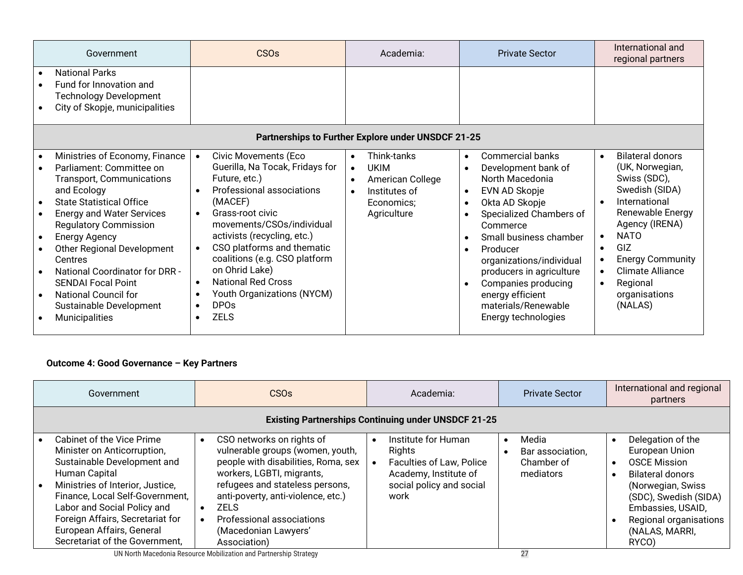| Government                                                                                                                                                                                                                                                                                                                                                                                                                                                         | <b>CSO<sub>s</sub></b>                                                                                                                                                                                                                                                                                                                                                                                                                                          | Academia:                                                                                                                                        | <b>Private Sector</b>                                                                                                                                                                                                                                                                                                                                                                               | International and<br>regional partners                                                                                                                                                                                                                                            |  |
|--------------------------------------------------------------------------------------------------------------------------------------------------------------------------------------------------------------------------------------------------------------------------------------------------------------------------------------------------------------------------------------------------------------------------------------------------------------------|-----------------------------------------------------------------------------------------------------------------------------------------------------------------------------------------------------------------------------------------------------------------------------------------------------------------------------------------------------------------------------------------------------------------------------------------------------------------|--------------------------------------------------------------------------------------------------------------------------------------------------|-----------------------------------------------------------------------------------------------------------------------------------------------------------------------------------------------------------------------------------------------------------------------------------------------------------------------------------------------------------------------------------------------------|-----------------------------------------------------------------------------------------------------------------------------------------------------------------------------------------------------------------------------------------------------------------------------------|--|
| <b>National Parks</b><br>Fund for Innovation and<br><b>Technology Development</b><br>City of Skopje, municipalities                                                                                                                                                                                                                                                                                                                                                |                                                                                                                                                                                                                                                                                                                                                                                                                                                                 |                                                                                                                                                  |                                                                                                                                                                                                                                                                                                                                                                                                     |                                                                                                                                                                                                                                                                                   |  |
| Partnerships to Further Explore under UNSDCF 21-25                                                                                                                                                                                                                                                                                                                                                                                                                 |                                                                                                                                                                                                                                                                                                                                                                                                                                                                 |                                                                                                                                                  |                                                                                                                                                                                                                                                                                                                                                                                                     |                                                                                                                                                                                                                                                                                   |  |
| Ministries of Economy, Finance<br>Parliament: Committee on<br><b>Transport, Communications</b><br>and Ecology<br><b>State Statistical Office</b><br>$\bullet$<br><b>Energy and Water Services</b><br><b>Regulatory Commission</b><br><b>Energy Agency</b><br><b>Other Regional Development</b><br>Centres<br><b>National Coordinator for DRR -</b><br><b>SENDAI Focal Point</b><br><b>National Council for</b><br>Sustainable Development<br><b>Municipalities</b> | <b>Civic Movements (Eco</b><br>$\bullet$<br>Guerilla, Na Tocak, Fridays for<br>Future, etc.)<br>Professional associations<br>$\bullet$<br>(MACEF)<br>Grass-root civic<br>$\bullet$<br>movements/CSOs/individual<br>activists (recycling, etc.)<br>CSO platforms and thematic<br>$\bullet$<br>coalitions (e.g. CSO platform<br>on Ohrid Lake)<br><b>National Red Cross</b><br>$\bullet$<br>Youth Organizations (NYCM)<br>$\bullet$<br><b>DPOs</b><br><b>ZELS</b> | Think-tanks<br>$\bullet$<br><b>UKIM</b><br>$\bullet$<br>American College<br>$\bullet$<br>Institutes of<br>$\bullet$<br>Economics;<br>Agriculture | <b>Commercial banks</b><br>$\bullet$<br>Development bank of<br>$\bullet$<br>North Macedonia<br>EVN AD Skopje<br>$\bullet$<br>Okta AD Skopje<br>$\bullet$<br>Specialized Chambers of<br>Commerce<br>Small business chamber<br>Producer<br>$\bullet$<br>organizations/individual<br>producers in agriculture<br>Companies producing<br>energy efficient<br>materials/Renewable<br>Energy technologies | <b>Bilateral donors</b><br>$\bullet$<br>(UK, Norwegian,<br>Swiss (SDC),<br>Swedish (SIDA)<br>International<br>Renewable Energy<br>Agency (IRENA)<br><b>NATO</b><br>$\bullet$<br>GIZ<br><b>Energy Community</b><br><b>Climate Alliance</b><br>Regional<br>organisations<br>(NALAS) |  |

#### **Outcome 4: Good Governance – Key Partners**

| Government |                                                                                                                                                                                                                                                                                                                   | CSO <sub>s</sub> |                                                                                                                                                                                                                                                                                                | Academia: |                                                                                                                        | <b>Private Sector</b> |                                                      | International and regional<br>partners |                                                                                                                                                                                                                |
|------------|-------------------------------------------------------------------------------------------------------------------------------------------------------------------------------------------------------------------------------------------------------------------------------------------------------------------|------------------|------------------------------------------------------------------------------------------------------------------------------------------------------------------------------------------------------------------------------------------------------------------------------------------------|-----------|------------------------------------------------------------------------------------------------------------------------|-----------------------|------------------------------------------------------|----------------------------------------|----------------------------------------------------------------------------------------------------------------------------------------------------------------------------------------------------------------|
|            | <b>Existing Partnerships Continuing under UNSDCF 21-25</b>                                                                                                                                                                                                                                                        |                  |                                                                                                                                                                                                                                                                                                |           |                                                                                                                        |                       |                                                      |                                        |                                                                                                                                                                                                                |
| $\bullet$  | Cabinet of the Vice Prime<br>Minister on Anticorruption,<br>Sustainable Development and<br>Human Capital<br>Ministries of Interior, Justice,<br>Finance, Local Self-Government,<br>Labor and Social Policy and<br>Foreign Affairs, Secretariat for<br>European Affairs, General<br>Secretariat of the Government, |                  | CSO networks on rights of<br>vulnerable groups (women, youth,<br>people with disabilities, Roma, sex<br>workers, LGBTI, migrants,<br>refugees and stateless persons,<br>anti-poverty, anti-violence, etc.)<br><b>ZELS</b><br>Professional associations<br>(Macedonian Lawyers'<br>Association) |           | Institute for Human<br>Rights<br>Faculties of Law, Police<br>Academy, Institute of<br>social policy and social<br>work | $\bullet$             | Media<br>Bar association,<br>Chamber of<br>mediators |                                        | Delegation of the<br>European Union<br><b>OSCE Mission</b><br><b>Bilateral donors</b><br>(Norwegian, Swiss)<br>(SDC), Swedish (SIDA)<br>Embassies, USAID,<br>Regional organisations<br>(NALAS, MARRI,<br>RYCO) |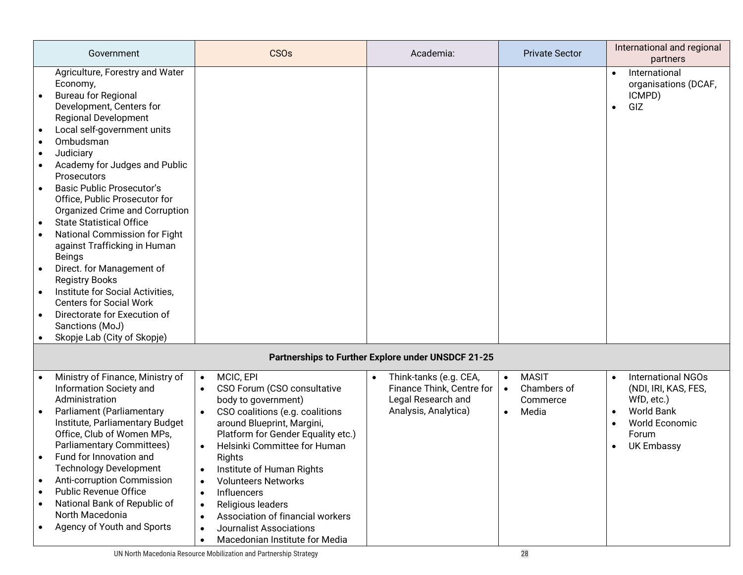|                             | Government                                                                                                                                                                                                                                                                                                                                                                                                                                                                                                                                                                                                                                                                              | <b>CSOs</b>                                                                                                                                                                                                                                                                                                                                                                                                                                                                                                                                                      | Academia:                                                                                                      | <b>Private Sector</b>                                                                   | International and regional<br>partners                                                                                                                                             |  |  |  |
|-----------------------------|-----------------------------------------------------------------------------------------------------------------------------------------------------------------------------------------------------------------------------------------------------------------------------------------------------------------------------------------------------------------------------------------------------------------------------------------------------------------------------------------------------------------------------------------------------------------------------------------------------------------------------------------------------------------------------------------|------------------------------------------------------------------------------------------------------------------------------------------------------------------------------------------------------------------------------------------------------------------------------------------------------------------------------------------------------------------------------------------------------------------------------------------------------------------------------------------------------------------------------------------------------------------|----------------------------------------------------------------------------------------------------------------|-----------------------------------------------------------------------------------------|------------------------------------------------------------------------------------------------------------------------------------------------------------------------------------|--|--|--|
|                             | Agriculture, Forestry and Water<br>Economy,<br><b>Bureau for Regional</b><br>Development, Centers for<br><b>Regional Development</b><br>Local self-government units<br>Ombudsman<br>Judiciary<br>Academy for Judges and Public<br>Prosecutors<br><b>Basic Public Prosecutor's</b><br>Office, Public Prosecutor for<br>Organized Crime and Corruption<br><b>State Statistical Office</b><br>National Commission for Fight<br>against Trafficking in Human<br><b>Beings</b><br>Direct. for Management of<br><b>Registry Books</b><br>Institute for Social Activities,<br><b>Centers for Social Work</b><br>Directorate for Execution of<br>Sanctions (MoJ)<br>Skopje Lab (City of Skopje) |                                                                                                                                                                                                                                                                                                                                                                                                                                                                                                                                                                  |                                                                                                                |                                                                                         | International<br>organisations (DCAF,<br>ICMPD)<br>GIZ<br>$\bullet$                                                                                                                |  |  |  |
|                             | Partnerships to Further Explore under UNSDCF 21-25                                                                                                                                                                                                                                                                                                                                                                                                                                                                                                                                                                                                                                      |                                                                                                                                                                                                                                                                                                                                                                                                                                                                                                                                                                  |                                                                                                                |                                                                                         |                                                                                                                                                                                    |  |  |  |
| $\bullet$<br>$\bullet$<br>٠ | Ministry of Finance, Ministry of<br>Information Society and<br>Administration<br>Parliament (Parliamentary<br>Institute, Parliamentary Budget<br>Office, Club of Women MPs,<br><b>Parliamentary Committees)</b><br>Fund for Innovation and<br><b>Technology Development</b><br>Anti-corruption Commission<br><b>Public Revenue Office</b><br>National Bank of Republic of<br>North Macedonia<br>Agency of Youth and Sports                                                                                                                                                                                                                                                              | MCIC, EPI<br>$\bullet$<br>CSO Forum (CSO consultative<br>$\bullet$<br>body to government)<br>CSO coalitions (e.g. coalitions<br>$\bullet$<br>around Blueprint, Margini,<br>Platform for Gender Equality etc.)<br>Helsinki Committee for Human<br>$\bullet$<br>Rights<br>Institute of Human Rights<br>$\bullet$<br><b>Volunteers Networks</b><br>$\bullet$<br><b>Influencers</b><br>$\bullet$<br>Religious leaders<br>$\bullet$<br>Association of financial workers<br>$\bullet$<br><b>Journalist Associations</b><br>$\bullet$<br>Macedonian Institute for Media | Think-tanks (e.g. CEA,<br>$\bullet$<br>Finance Think, Centre for<br>Legal Research and<br>Analysis, Analytica) | <b>MASIT</b><br>$\bullet$<br>Chambers of<br>$\bullet$<br>Commerce<br>Media<br>$\bullet$ | <b>International NGOs</b><br>$\bullet$<br>(NDI, IRI, KAS, FES,<br>WfD, etc.)<br><b>World Bank</b><br><b>World Economic</b><br>$\bullet$<br>Forum<br><b>UK Embassy</b><br>$\bullet$ |  |  |  |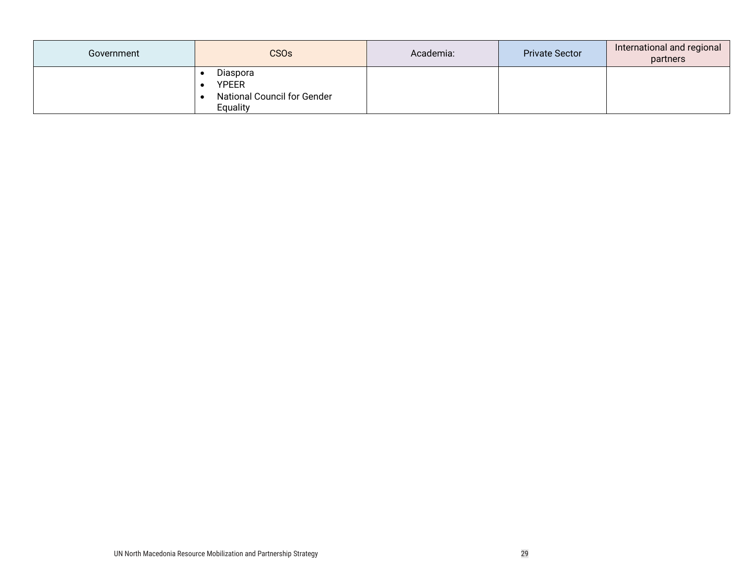| Government | <b>CSOs</b>                                                                | Academia: | <b>Private Sector</b> | International and regional<br>partners |
|------------|----------------------------------------------------------------------------|-----------|-----------------------|----------------------------------------|
|            | Diaspora<br><b>YPEER</b><br><b>National Council for Gender</b><br>Equality |           |                       |                                        |